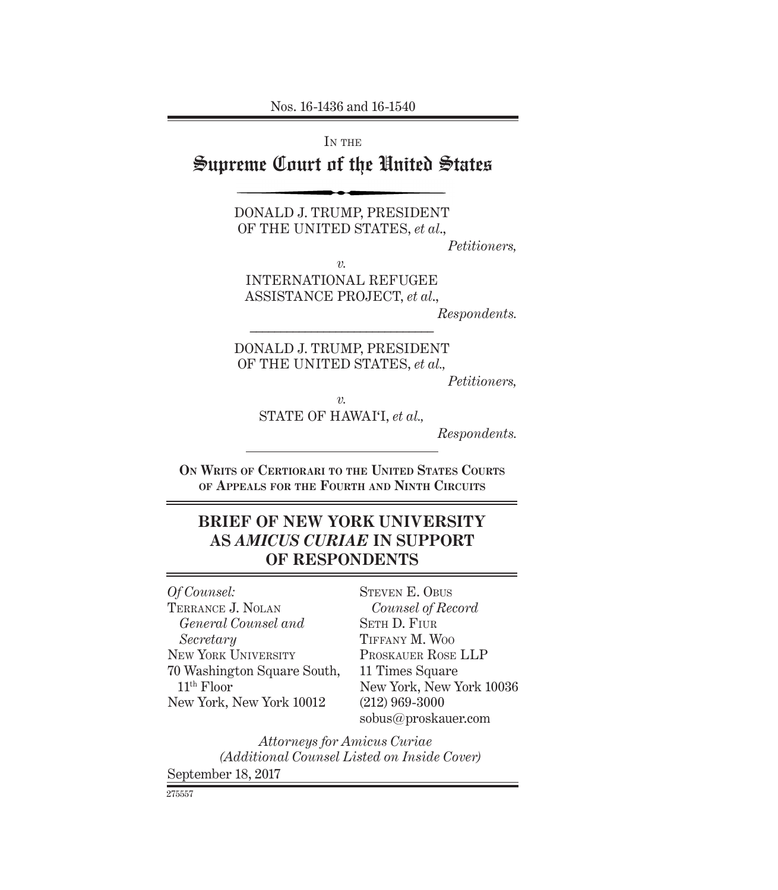Nos. 16-1436 and 16-1540

IN THE

# Supreme Court of the United States

DONALD J. TRUMP, PRESIDENT OF THE UNITED STATES, *et al*.,

*Petitioners,*

*v.*

INTERNATIONAL REFUGEE ASSISTANCE PROJECT, *et al*.,

*Respondents.*

DONALD J. TRUMP, PRESIDENT OF THE UNITED STATES, *et al.,*

*––––––––––––––––––––––––––––––*

*Petitioners,*

*v.* STATE OF HAWAI'I, *et al.,*

*Respondents.*

**On Writs of Certiorari to the United States Courts of Appeals for the Fourth and Ninth Circuits**

## **BRIEF OF NEW YORK UNIVERSITY AS** *AMICUS CURIAE* **IN SUPPORT OF RESPONDENTS**

*Of Counsel:* Terrance J. Nolan *General Counsel and Secretary* New York University 70 Washington Square South, 11th Floor New York, New York 10012

STEVEN E. OBUS *Counsel of Record* SETH D. FIUR Tiffany M. Woo Proskauer Rose LLP 11 Times Square New York, New York 10036 (212) 969-3000 sobus@proskauer.com

*Attorneys for Amicus Curiae (Additional Counsel Listed on Inside Cover)* September 18, 2017

275557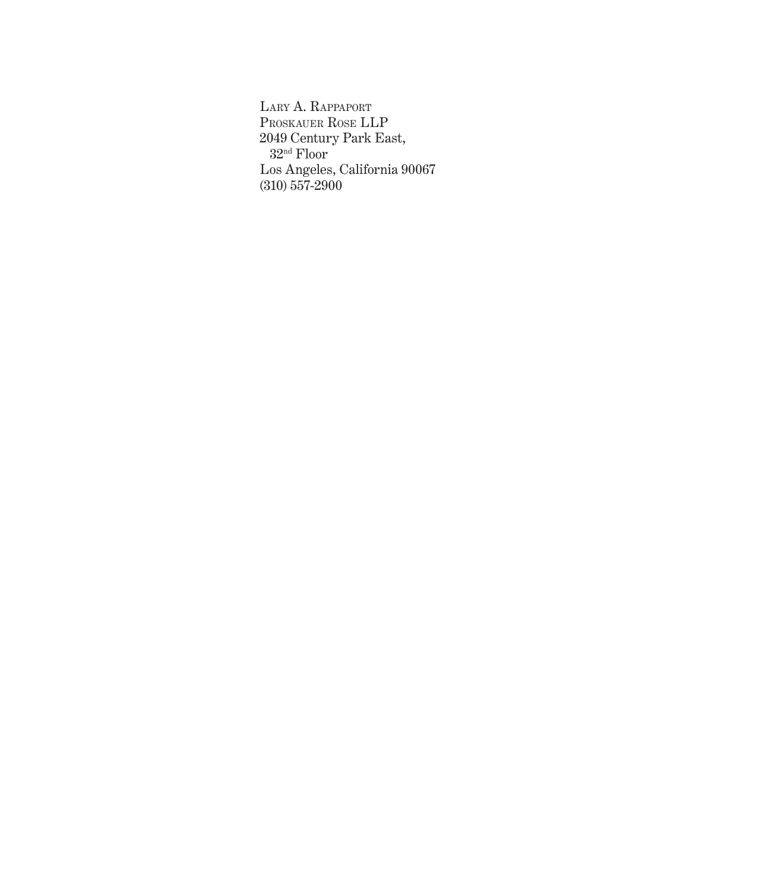Lary A. Rappaport Proskauer Rose LLP 2049 Century Park East,  $32^{\rm nd}$  Floor Los Angeles, California 90067 (310) 557-2900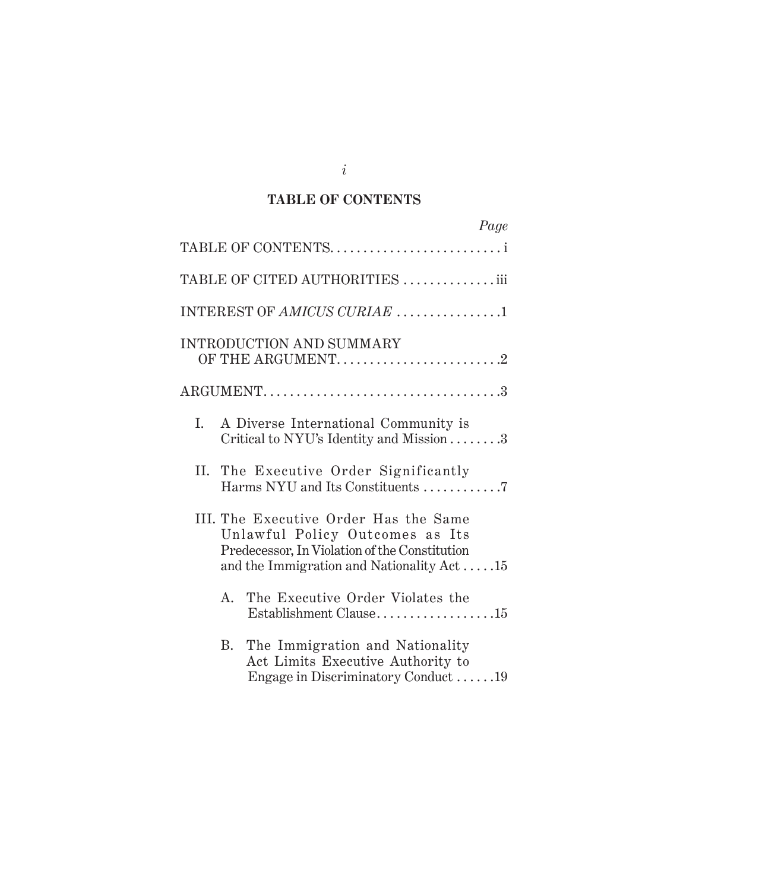## **TABLE OF CONTENTS**

|    | Page                                                                                                                                                                      |
|----|---------------------------------------------------------------------------------------------------------------------------------------------------------------------------|
|    | TABLE OF CONTENTS                                                                                                                                                         |
|    | TABLE OF CITED AUTHORITIES iii                                                                                                                                            |
|    | INTEREST OF AMICUS CURIAE 1                                                                                                                                               |
|    | <b>INTRODUCTION AND SUMMARY</b><br>OF THE ARGUMENT. 2                                                                                                                     |
|    |                                                                                                                                                                           |
| L. | A Diverse International Community is<br>Critical to NYU's Identity and Mission 3                                                                                          |
|    | II. The Executive Order Significantly<br>Harms NYU and Its Constituents 7                                                                                                 |
|    | III. The Executive Order Has the Same<br>Unlawful Policy Outcomes as Its<br>Predecessor, In Violation of the Constitution<br>and the Immigration and Nationality Act $15$ |
|    | A. The Executive Order Violates the<br>Establishment Clause15                                                                                                             |
|    | B. The Immigration and Nationality<br>Act Limits Executive Authority to<br>Engage in Discriminatory Conduct $\dots$ 19                                                    |

*i*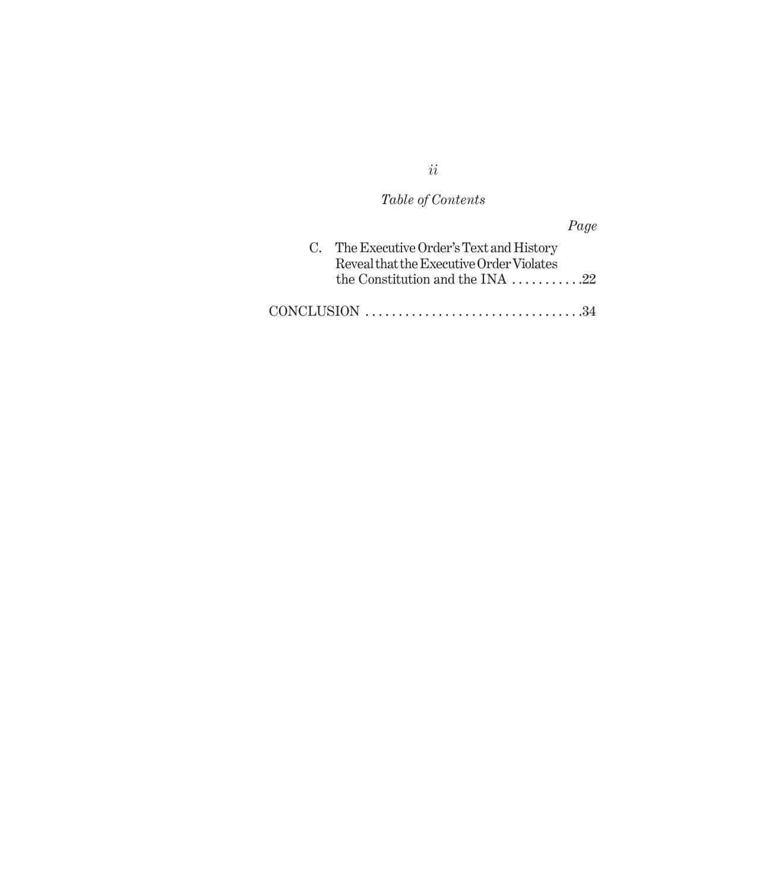# *Table of Contents*

| Page                                                                                  |
|---------------------------------------------------------------------------------------|
| C. The Executive Order's Text and History<br>Reveal that the Executive Order Violates |
| the Constitution and the INA $\ldots \ldots \ldots 22$                                |
|                                                                                       |

*ii*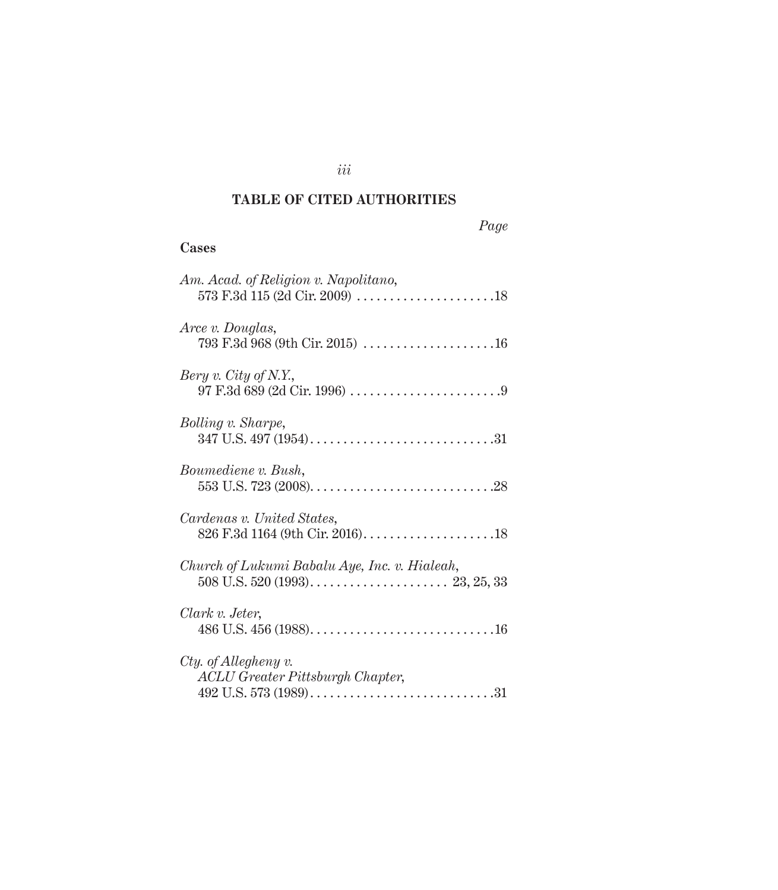## **TABLE OF CITED AUTHORITIES**

| ,,,<br>י<br>r. |
|----------------|
|----------------|

| Cases                                                              |
|--------------------------------------------------------------------|
| Am. Acad. of Religion v. Napolitano,                               |
| Arce v. Douglas,<br>793 F.3d 968 (9th Cir. 2015) 16                |
| Bery v. City of N.Y.,                                              |
| Bolling v. Sharpe,                                                 |
| Boumediene v. Bush,                                                |
| Cardenas v. United States,                                         |
| Church of Lukumi Babalu Aye, Inc. v. Hialeah,                      |
| Clark v. Jeter,                                                    |
| Cty. of Allegheny $v$ .<br><b>ACLU</b> Greater Pittsburgh Chapter, |

*iii*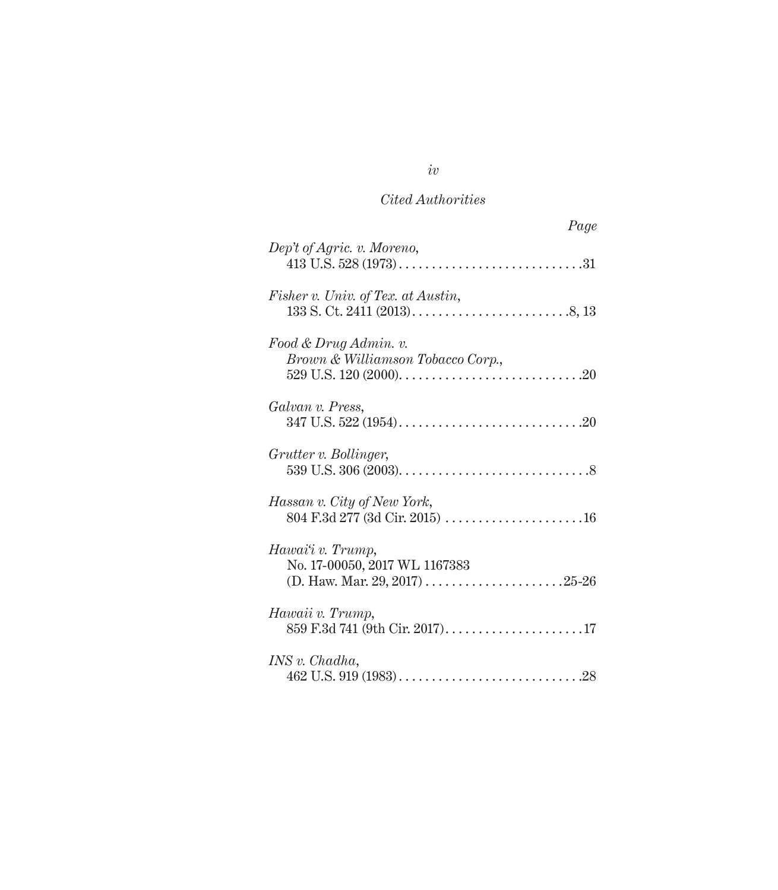## *Cited Authorities*

| Page                                                                                                                                                                     |
|--------------------------------------------------------------------------------------------------------------------------------------------------------------------------|
| Dep't of Agric. v. Moreno,                                                                                                                                               |
| Fisher v. Univ. of Tex. at Austin,                                                                                                                                       |
| Food & Drug Admin. v.<br>Brown & Williamson Tobacco Corp.,<br>529 U.S. 120 (2000). $\ldots \ldots \ldots \ldots \ldots \ldots \ldots \ldots \ldots \ldots \ldots \ldots$ |
| Galvan v. Press,                                                                                                                                                         |
| Grutter v. Bollinger,                                                                                                                                                    |
| Hassan v. City of New York,<br>$804 \text{ F.}3d 277 (3d \text{ Cir. } 2015) \dots \dots \dots \dots \dots \dots 16$                                                     |
| Hawai'i v. Trump,<br>No. 17-00050, 2017 WL 1167383                                                                                                                       |
| Hawaii v. Trump,<br>859 F.3d 741 (9th Cir. 2017)17                                                                                                                       |
| INS v. Chadha,                                                                                                                                                           |

*iv*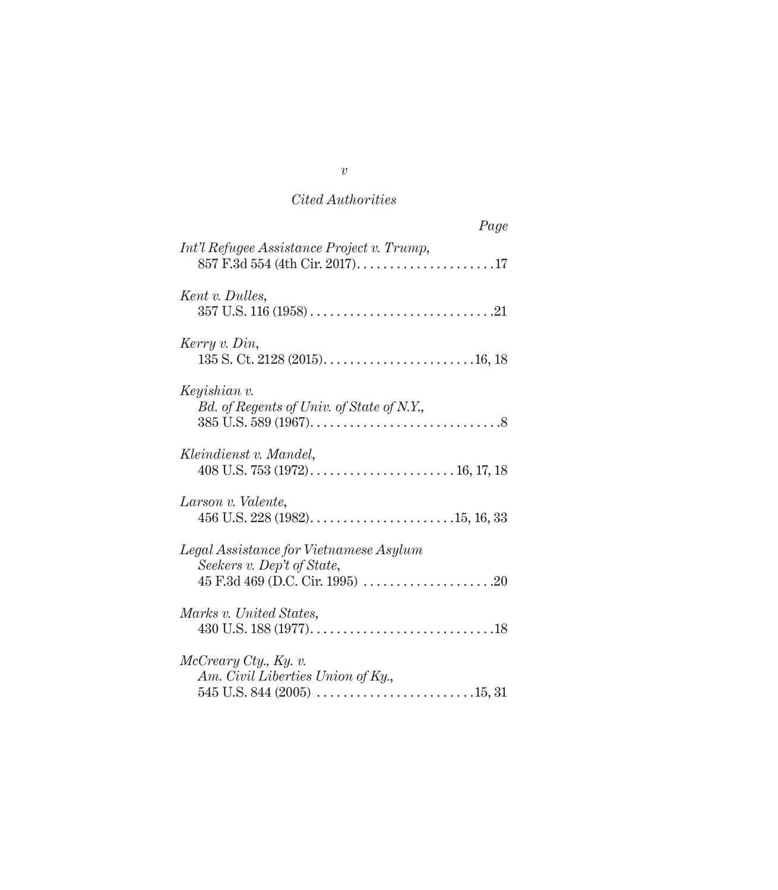### *Cited Authorities*

| Page                                                                 |
|----------------------------------------------------------------------|
| Int'l Refugee Assistance Project v. Trump,                           |
| Kent v. Dulles,                                                      |
| Kerry v. Din,                                                        |
| Keyishian v.<br>Bd. of Regents of Univ. of State of N.Y.,            |
| Kleindienst v. Mandel,                                               |
| Larson v. Valente,                                                   |
| Legal Assistance for Vietnamese Asylum<br>Seekers v. Dep't of State, |
| Marks v. United States,                                              |
| McCreary Cty., Ky. v.<br>Am. Civil Liberties Union of Ky.,           |

*v*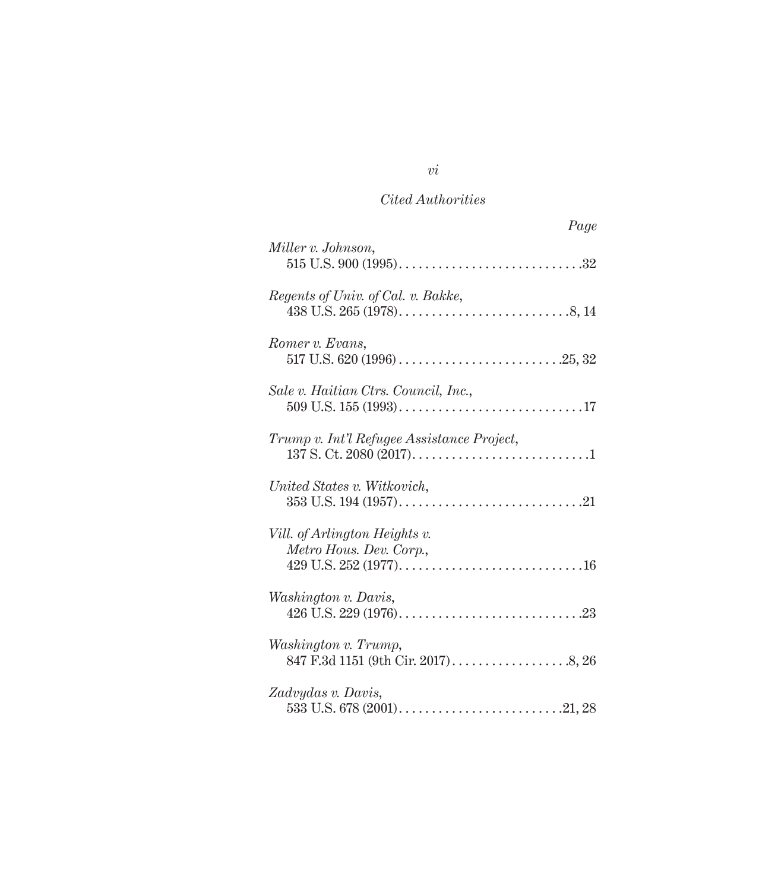## *Cited Authorities*

| Page                                                     |
|----------------------------------------------------------|
| Miller v. Johnson,                                       |
| Regents of Univ. of Cal. v. Bakke,                       |
| Romer v. Evans,                                          |
| Sale v. Haitian Ctrs. Council, Inc.,                     |
| Trump v. Int'l Refugee Assistance Project,               |
| United States v. Witkovich,                              |
| Vill. of Arlington Heights v.<br>Metro Hous. Dev. Corp., |
| <i>Washington v. Davis,</i>                              |
| Washington v. Trump,                                     |
| Zadvydas v. Davis,                                       |

*vi*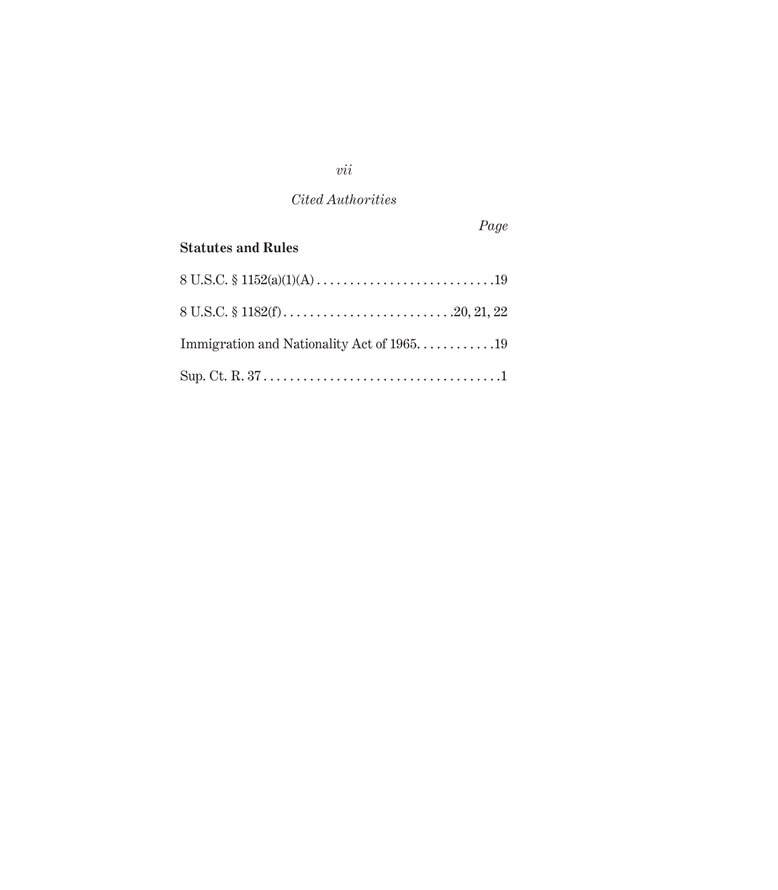## *vii*

## *Cited Authorities*

## *Page*

## **Statutes and Rules**

| 8 U.S.C. $\frac{152(a)(1)(A) \dots (16a)(1)}{19}$ |  |
|---------------------------------------------------|--|
|                                                   |  |
| Immigration and Nationality Act of 196519         |  |
|                                                   |  |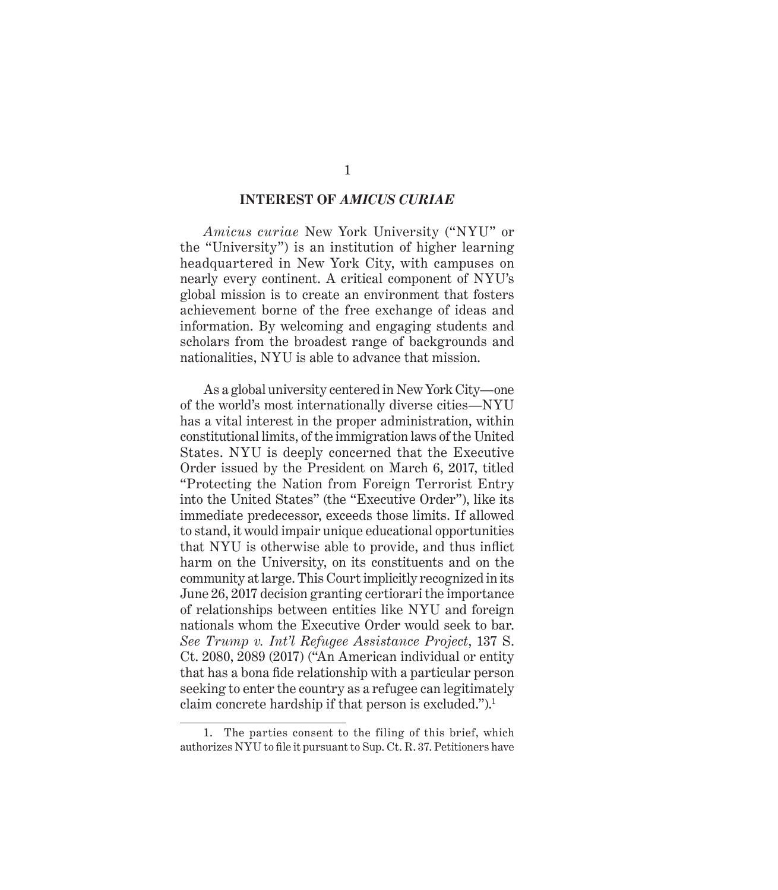#### **INTEREST OF** *AMICUS CURIAE*

<span id="page-9-0"></span>*Amicus curiae* New York University ("NYU" or the "University") is an institution of higher learning headquartered in New York City, with campuses on nearly every continent. A critical component of NYU's global mission is to create an environment that fosters achievement borne of the free exchange of ideas and information. By welcoming and engaging students and scholars from the broadest range of backgrounds and nationalities, NYU is able to advance that mission.

As a global university centered in New York City—one of the world's most internationally diverse cities—NYU has a vital interest in the proper administration, within constitutional limits, of the immigration laws of the United States. NYU is deeply concerned that the Executive Order issued by the President on March 6, 2017, titled "Protecting the Nation from Foreign Terrorist Entry into the United States" (the "Executive Order"), like its immediate predecessor, exceeds those limits. If allowed to stand, it would impair unique educational opportunities that NYU is otherwise able to provide, and thus inflict harm on the University, on its constituents and on the community at large. This Court implicitly recognized in its June 26, 2017 decision granting certiorari the importance of relationships between entities like NYU and foreign nationals whom the Executive Order would seek to bar. *See Trump v. Int'l Refugee Assistance Project*, 137 S. Ct. 2080, 2089 (2017) ("An American individual or entity that has a bona fide relationship with a particular person seeking to enter the country as a refugee can legitimately claim concrete hardship if that person is excluded.").<sup>1</sup>

<sup>1.</sup> The parties consent to the filing of this brief, which authorizes NYU to file it pursuant to Sup. Ct. R. 37. Petitioners have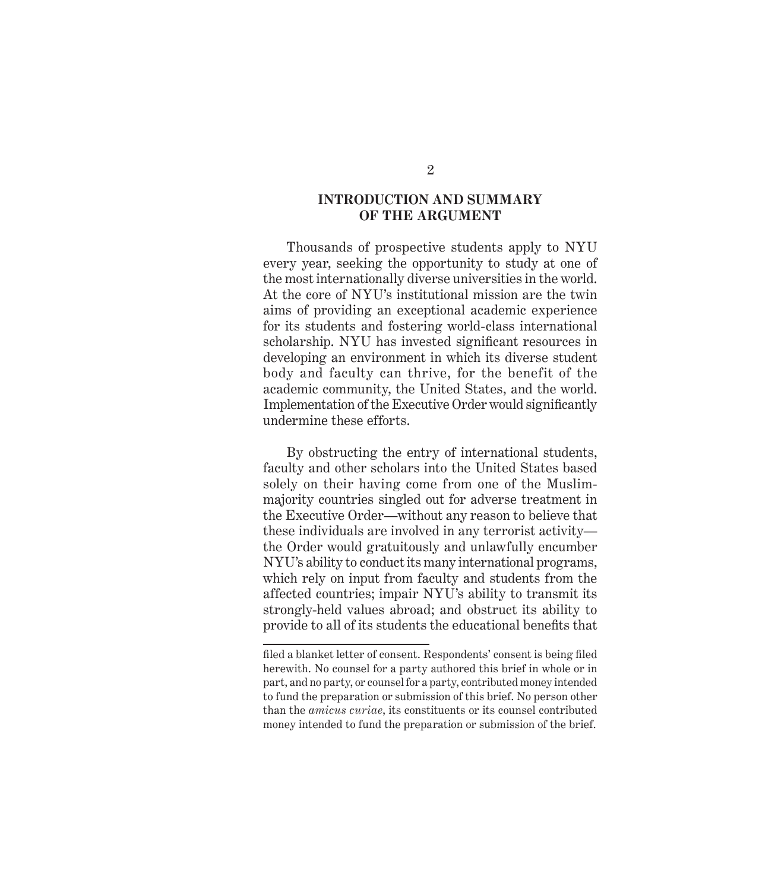#### **INTRODUCTION AND SUMMARY OF THE ARGUMENT**

<span id="page-10-0"></span>Thousands of prospective students apply to NYU every year, seeking the opportunity to study at one of the most internationally diverse universities in the world. At the core of NYU's institutional mission are the twin aims of providing an exceptional academic experience for its students and fostering world-class international scholarship. NYU has invested significant resources in developing an environment in which its diverse student body and faculty can thrive, for the benefit of the academic community, the United States, and the world. Implementation of the Executive Order would significantly undermine these efforts.

By obstructing the entry of international students, faculty and other scholars into the United States based solely on their having come from one of the Muslimmajority countries singled out for adverse treatment in the Executive Order—without any reason to believe that these individuals are involved in any terrorist activity the Order would gratuitously and unlawfully encumber NYU's ability to conduct its many international programs, which rely on input from faculty and students from the affected countries; impair NYU's ability to transmit its strongly-held values abroad; and obstruct its ability to provide to all of its students the educational benefits that

filed a blanket letter of consent. Respondents' consent is being filed herewith. No counsel for a party authored this brief in whole or in part, and no party, or counsel for a party, contributed money intended to fund the preparation or submission of this brief. No person other than the *amicus curiae*, its constituents or its counsel contributed money intended to fund the preparation or submission of the brief.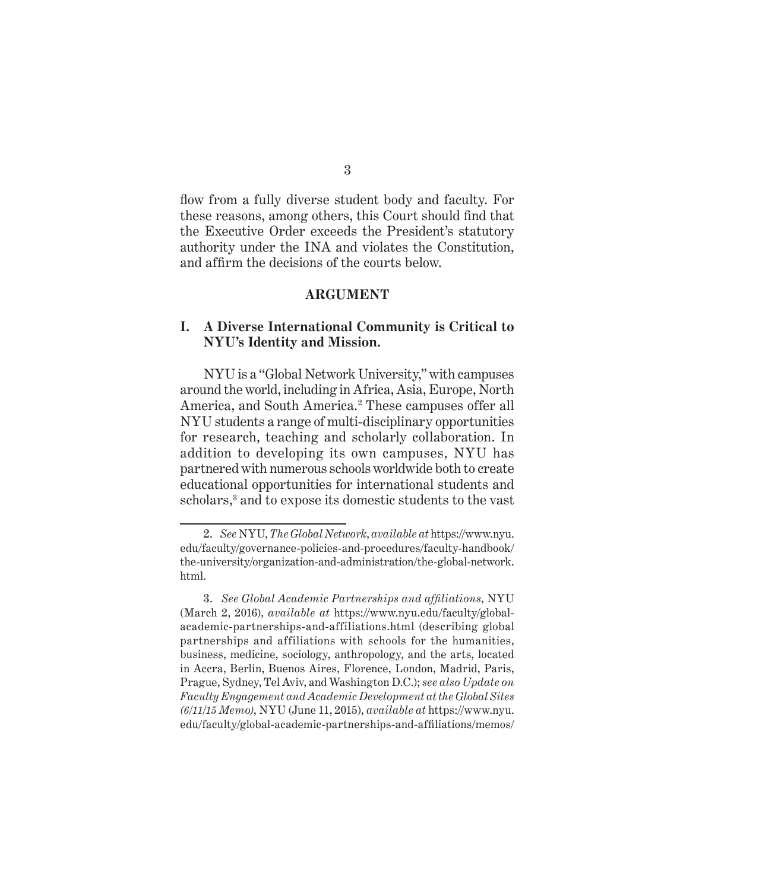<span id="page-11-0"></span>flow from a fully diverse student body and faculty. For these reasons, among others, this Court should find that the Executive Order exceeds the President's statutory authority under the INA and violates the Constitution, and affirm the decisions of the courts below.

#### **ARGUMENT**

### **I. A Diverse International Community is Critical to NYU's Identity and Mission.**

NYU is a "Global Network University," with campuses around the world, including in Africa, Asia, Europe, North America, and South America.<sup>2</sup> These campuses offer all NYU students a range of multi-disciplinary opportunities for research, teaching and scholarly collaboration. In addition to developing its own campuses, NYU has partnered with numerous schools worldwide both to create educational opportunities for international students and scholars,<sup>3</sup> and to expose its domestic students to the vast

<sup>2.</sup> *See* NYU, *The Global Network*, *available at* https://www.nyu. edu/faculty/governance-policies-and-procedures/faculty-handbook/ the-university/organization-and-administration/the-global-network. html.

<sup>3.</sup> *See Global Academic Partnerships and affiliations*, NYU (March 2, 2016), *available at* https://www.nyu.edu/faculty/globalacademic-partnerships-and-affiliations.html (describing global partnerships and affiliations with schools for the humanities, business, medicine, sociology, anthropology, and the arts, located in Accra, Berlin, Buenos Aires, Florence, London, Madrid, Paris, Prague, Sydney, Tel Aviv, and Washington D.C.); *see also Update on Faculty Engagement and Academic Development at the Global Sites (6/11/15 Memo)*, NYU (June 11, 2015), *available at* https://www.nyu. edu/faculty/global-academic-partnerships-and-affiliations/memos/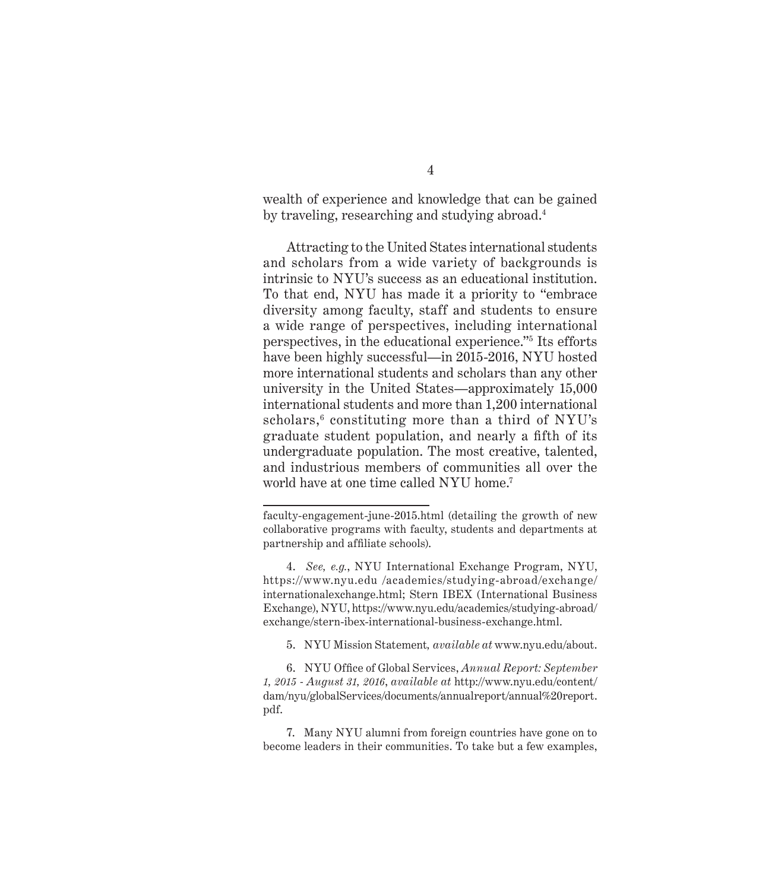wealth of experience and knowledge that can be gained by traveling, researching and studying abroad.4

Attracting to the United States international students and scholars from a wide variety of backgrounds is intrinsic to NYU's success as an educational institution. To that end, NYU has made it a priority to "embrace diversity among faculty, staff and students to ensure a wide range of perspectives, including international perspectives, in the educational experience."5 Its efforts have been highly successful—in 2015-2016, NYU hosted more international students and scholars than any other university in the United States—approximately 15,000 international students and more than 1,200 international scholars,<sup>6</sup> constituting more than a third of NYU's graduate student population, and nearly a fifth of its undergraduate population. The most creative, talented, and industrious members of communities all over the world have at one time called NYU home.7

5. NYU Mission Statement*, available at* www.nyu.edu/about.

6. NYU Office of Global Services, *Annual Report: September 1, 2015 - August 31, 2016*, *available at* http://www.nyu.edu/content/ dam/nyu/globalServices/documents/annualreport/annual%20report. pdf.

7. Many NYU alumni from foreign countries have gone on to become leaders in their communities. To take but a few examples,

faculty-engagement-june-2015.html (detailing the growth of new collaborative programs with faculty, students and departments at partnership and affiliate schools).

<sup>4.</sup> *See, e.g.*, NYU International Exchange Program, NYU, https://www.nyu.edu /academics/studying-abroad/exchange/ internationalexchange.html; Stern IBEX (International Business Exchange), NYU, https://www.nyu.edu /academics/studying-abroad/ exchange/stern-ibex-international-business-exchange.html.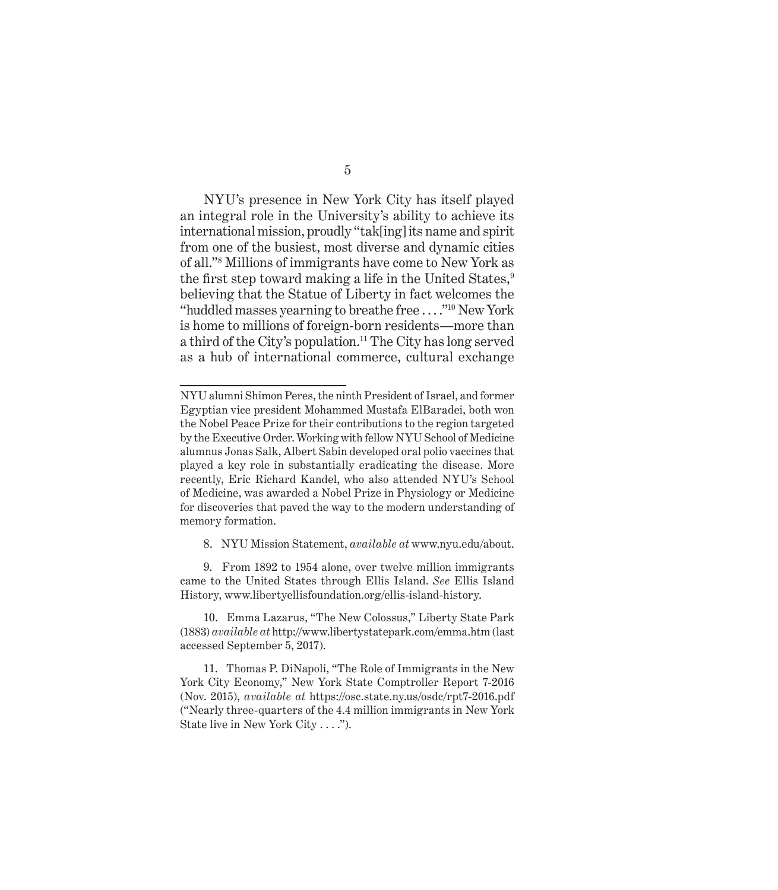NYU's presence in New York City has itself played an integral role in the University's ability to achieve its international mission, proudly "tak[ing] its name and spirit from one of the busiest, most diverse and dynamic cities of all."8 Millions of immigrants have come to New York as the first step toward making a life in the United States,<sup>9</sup> believing that the Statue of Liberty in fact welcomes the "huddled masses yearning to breathe free . . . ."10 New York is home to millions of foreign-born residents—more than a third of the City's population.11 The City has long served as a hub of international commerce, cultural exchange

9. From 1892 to 1954 alone, over twelve million immigrants came to the United States through Ellis Island. *See* Ellis Island History, www.libertyellisfoundation.org/ellis-island-history.

NYU alumni Shimon Peres, the ninth President of Israel, and former Egyptian vice president Mohammed Mustafa ElBaradei, both won the Nobel Peace Prize for their contributions to the region targeted by the Executive Order. Working with fellow NYU School of Medicine alumnus Jonas Salk, Albert Sabin developed oral polio vaccines that played a key role in substantially eradicating the disease. More recently, Eric Richard Kandel, who also attended NYU's School of Medicine, was awarded a Nobel Prize in Physiology or Medicine for discoveries that paved the way to the modern understanding of memory formation.

<sup>8.</sup> NYU Mission Statement, *available at* www.nyu.edu/about.

<sup>10.</sup> Emma Lazarus, "The New Colossus," Liberty State Park (1883) *available at* http://www.libertystatepark.com/emma.htm (last accessed September 5, 2017).

<sup>11.</sup> Thomas P. DiNapoli, "The Role of Immigrants in the New York City Economy," New York State Comptroller Report 7-2016 (Nov. 2015), *available at* https://osc.state.ny.us/osdc/rpt7-2016.pdf ("Nearly three-quarters of the 4.4 million immigrants in New York State live in New York City . . . .").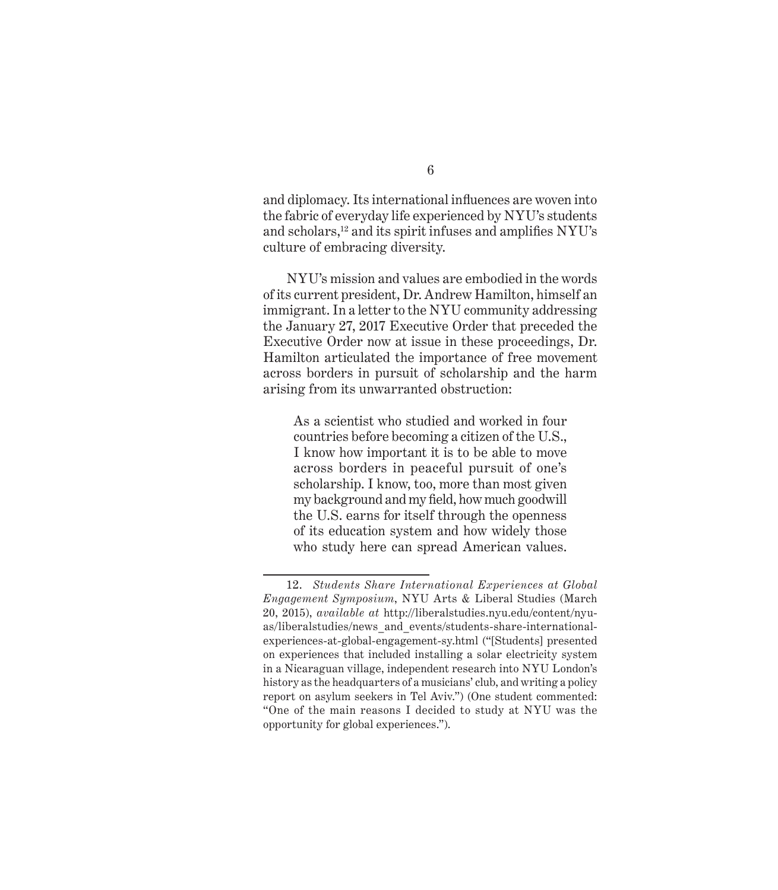and diplomacy. Its international influences are woven into the fabric of everyday life experienced by NYU's students and scholars,<sup>12</sup> and its spirit infuses and amplifies NYU's culture of embracing diversity.

NYU's mission and values are embodied in the words of its current president, Dr. Andrew Hamilton, himself an immigrant. In a letter to the NYU community addressing the January 27, 2017 Executive Order that preceded the Executive Order now at issue in these proceedings, Dr. Hamilton articulated the importance of free movement across borders in pursuit of scholarship and the harm arising from its unwarranted obstruction:

As a scientist who studied and worked in four countries before becoming a citizen of the U.S., I know how important it is to be able to move across borders in peaceful pursuit of one's scholarship. I know, too, more than most given my background and my field, how much goodwill the U.S. earns for itself through the openness of its education system and how widely those who study here can spread American values.

<sup>12.</sup> *Students Share International Experiences at Global Engagement Symposium*, NYU Arts & Liberal Studies (March 20, 2015), *available at* http://liberalstudies.nyu.edu/content/nyuas/liberalstudies/news\_and\_events/students-share-internationalexperiences-at-global-engagement-sy.html ("[Students] presented on experiences that included installing a solar electricity system in a Nicaraguan village, independent research into NYU London's history as the headquarters of a musicians' club, and writing a policy report on asylum seekers in Tel Aviv.") (One student commented: "One of the main reasons I decided to study at NYU was the opportunity for global experiences.").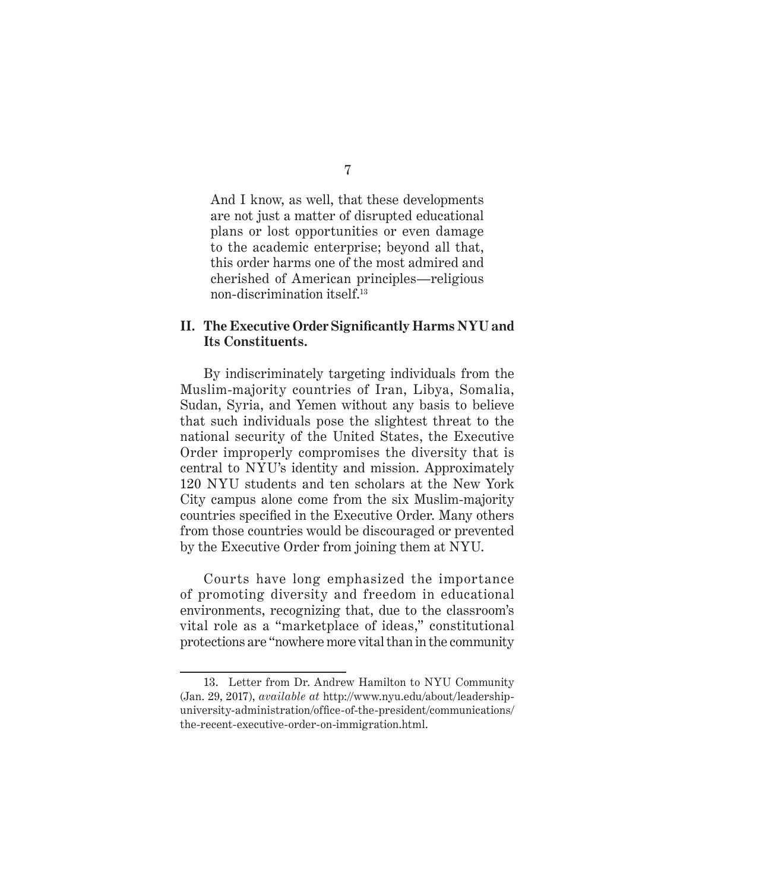<span id="page-15-0"></span>And I know, as well, that these developments are not just a matter of disrupted educational plans or lost opportunities or even damage to the academic enterprise; beyond all that, this order harms one of the most admired and cherished of American principles—religious non-discrimination itself.13

### **II. The Executive Order Significantly Harms NYU and Its Constituents.**

By indiscriminately targeting individuals from the Muslim-majority countries of Iran, Libya, Somalia, Sudan, Syria, and Yemen without any basis to believe that such individuals pose the slightest threat to the national security of the United States, the Executive Order improperly compromises the diversity that is central to NYU's identity and mission. Approximately 120 NYU students and ten scholars at the New York City campus alone come from the six Muslim-majority countries specified in the Executive Order. Many others from those countries would be discouraged or prevented by the Executive Order from joining them at NYU.

Courts have long emphasized the importance of promoting diversity and freedom in educational environments, recognizing that, due to the classroom's vital role as a "marketplace of ideas," constitutional protections are "nowhere more vital than in the community

<sup>13.</sup> Letter from Dr. Andrew Hamilton to NYU Community (Jan. 29, 2017), *available at* http://www.nyu.edu/about/leadershipuniversity-administration/office-of-the-president/communications/ the-recent-executive-order-on-immigration.html.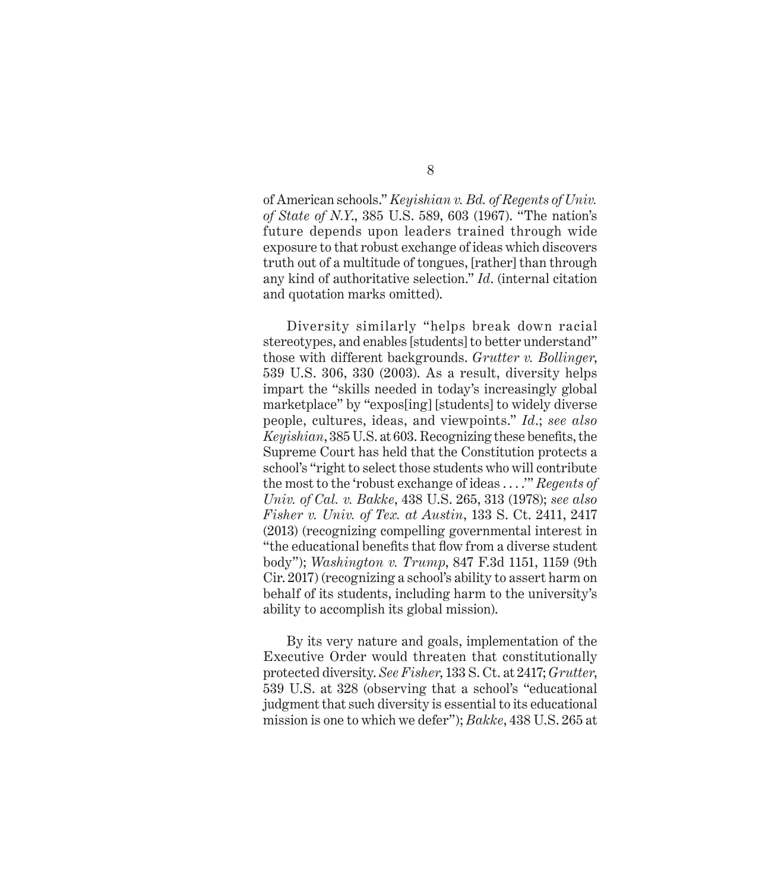of American schools." *Keyishian v. Bd. of Regents of Univ. of State of N.Y*., 385 U.S. 589, 603 (1967). "The nation's future depends upon leaders trained through wide exposure to that robust exchange of ideas which discovers truth out of a multitude of tongues, [rather] than through any kind of authoritative selection." *Id*. (internal citation and quotation marks omitted).

Diversity similarly "helps break down racial stereotypes, and enables [students] to better understand" those with different backgrounds. *Grutter v. Bollinger*, 539 U.S. 306, 330 (2003). As a result, diversity helps impart the "skills needed in today's increasingly global marketplace" by "expos[ing] [students] to widely diverse people, cultures, ideas, and viewpoints." *Id*.; *see also Keyishian*, 385 U.S. at 603. Recognizing these benefits, the Supreme Court has held that the Constitution protects a school's "right to select those students who will contribute the most to the 'robust exchange of ideas . . . .'" *Regents of Univ. of Cal. v. Bakke*, 438 U.S. 265, 313 (1978); *see also Fisher v. Univ. of Tex. at Austin*, 133 S. Ct. 2411, 2417 (2013) (recognizing compelling governmental interest in "the educational benefits that flow from a diverse student body"); *Washington v. Trump*, 847 F.3d 1151, 1159 (9th Cir. 2017) (recognizing a school's ability to assert harm on behalf of its students, including harm to the university's ability to accomplish its global mission).

By its very nature and goals, implementation of the Executive Order would threaten that constitutionally protected diversity. *See Fisher*, 133 S. Ct. at 2417; *Grutter*, 539 U.S. at 328 (observing that a school's "educational judgment that such diversity is essential to its educational mission is one to which we defer"); *Bakke*, 438 U.S. 265 at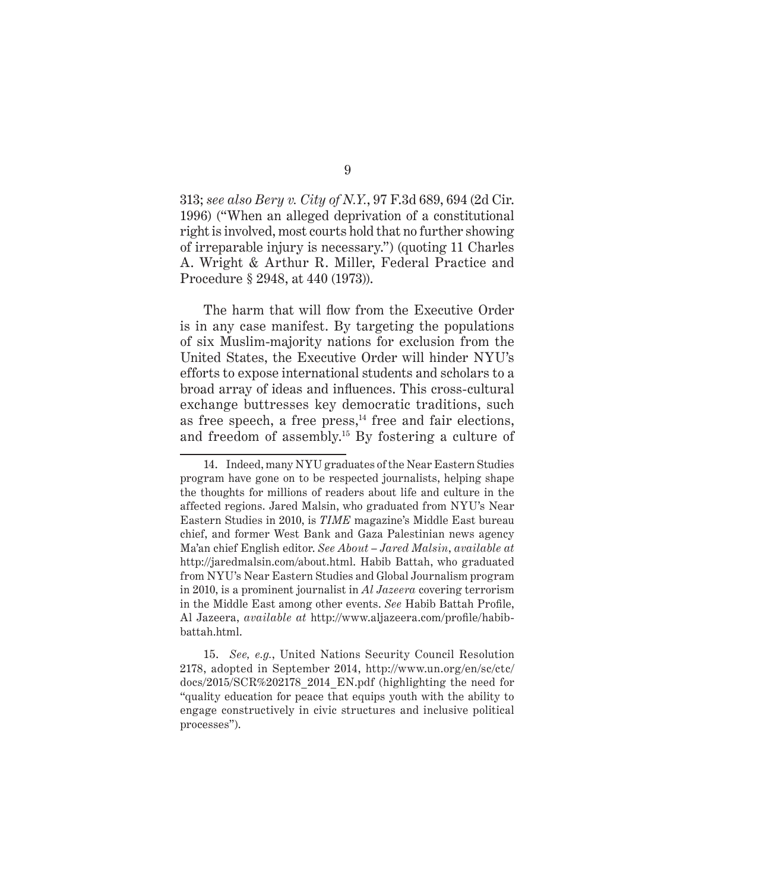313; *see also Bery v. City of N.Y.*, 97 F.3d 689, 694 (2d Cir. 1996) ("When an alleged deprivation of a constitutional right is involved, most courts hold that no further showing of irreparable injury is necessary.") (quoting 11 Charles A. Wright & Arthur R. Miller, Federal Practice and Procedure § 2948, at 440 (1973)).

The harm that will flow from the Executive Order is in any case manifest. By targeting the populations of six Muslim-majority nations for exclusion from the United States, the Executive Order will hinder NYU's efforts to expose international students and scholars to a broad array of ideas and influences. This cross-cultural exchange buttresses key democratic traditions, such as free speech, a free press, $^{14}$  free and fair elections, and freedom of assembly.15 By fostering a culture of

<sup>14.</sup> Indeed, many NYU graduates of the Near Eastern Studies program have gone on to be respected journalists, helping shape the thoughts for millions of readers about life and culture in the affected regions. Jared Malsin, who graduated from NYU's Near Eastern Studies in 2010, is *TIME* magazine's Middle East bureau chief, and former West Bank and Gaza Palestinian news agency Ma'an chief English editor. *See About – Jared Malsin*, *available at*  http://jaredmalsin.com/about.html. Habib Battah, who graduated from NYU's Near Eastern Studies and Global Journalism program in 2010, is a prominent journalist in *Al Jazeera* covering terrorism in the Middle East among other events. *See* Habib Battah Profile, Al Jazeera, *available at* http://www.aljazeera.com/profile/habibbattah.html.

<sup>15.</sup> *See, e.g.*, United Nations Security Council Resolution 2178, adopted in September 2014, http://www.un.org/en/sc/ctc/ docs/2015/SCR%202178\_2014\_EN.pdf (highlighting the need for "quality education for peace that equips youth with the ability to engage constructively in civic structures and inclusive political processes").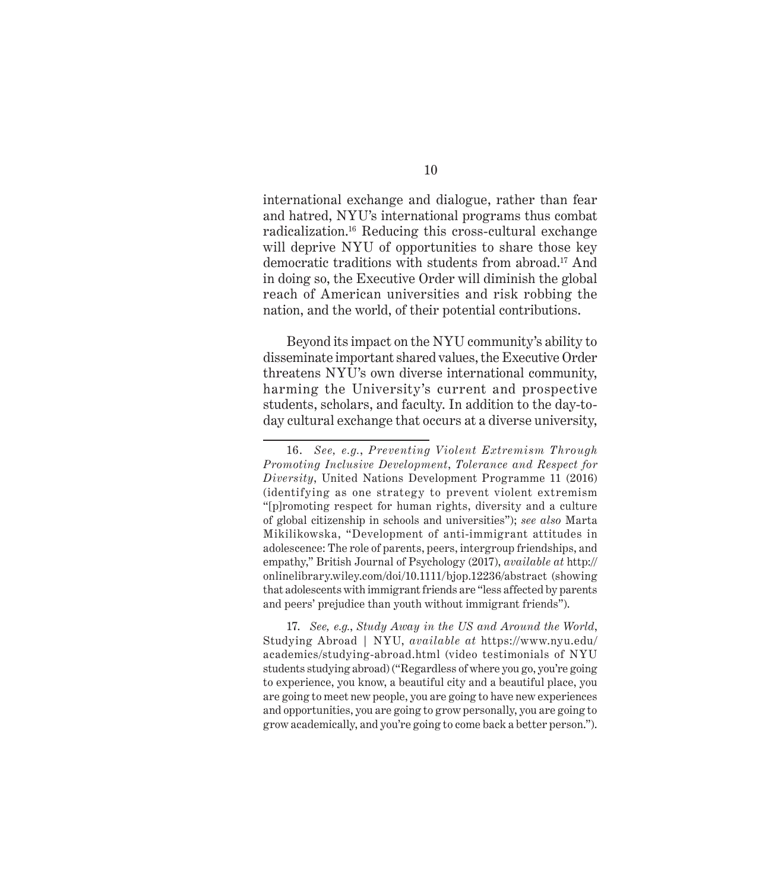international exchange and dialogue, rather than fear and hatred, NYU's international programs thus combat radicalization.16 Reducing this cross-cultural exchange will deprive NYU of opportunities to share those key democratic traditions with students from abroad.17 And in doing so, the Executive Order will diminish the global reach of American universities and risk robbing the nation, and the world, of their potential contributions.

Beyond its impact on the NYU community's ability to disseminate important shared values, the Executive Order threatens NYU's own diverse international community, harming the University's current and prospective students, scholars, and faculty. In addition to the day-today cultural exchange that occurs at a diverse university,

17. *See, e.g.*, *Study Away in the US and Around the World*, Studying Abroad | NYU, *available at* https://www.nyu.edu/ academics/studying-abroad.html (video testimonials of NYU students studying abroad) ("Regardless of where you go, you're going to experience, you know, a beautiful city and a beautiful place, you are going to meet new people, you are going to have new experiences and opportunities, you are going to grow personally, you are going to grow academically, and you're going to come back a better person.").

<sup>16.</sup> *See, e.g.*, *Preventing Violent Extremism Through Promoting Inclusive Development*, *Tolerance and Respect for Diversity*, United Nations Development Programme 11 (2016) (identifying as one strategy to prevent violent extremism "[p]romoting respect for human rights, diversity and a culture of global citizenship in schools and universities"); *see also* Marta Mikilikowska, "Development of anti-immigrant attitudes in adolescence: The role of parents, peers, intergroup friendships, and empathy," British Journal of Psychology (2017), *available at* http:// onlinelibrary.wiley.com/doi/10.1111/bjop.12236/abstract (showing that adolescents with immigrant friends are "less affected by parents and peers' prejudice than youth without immigrant friends").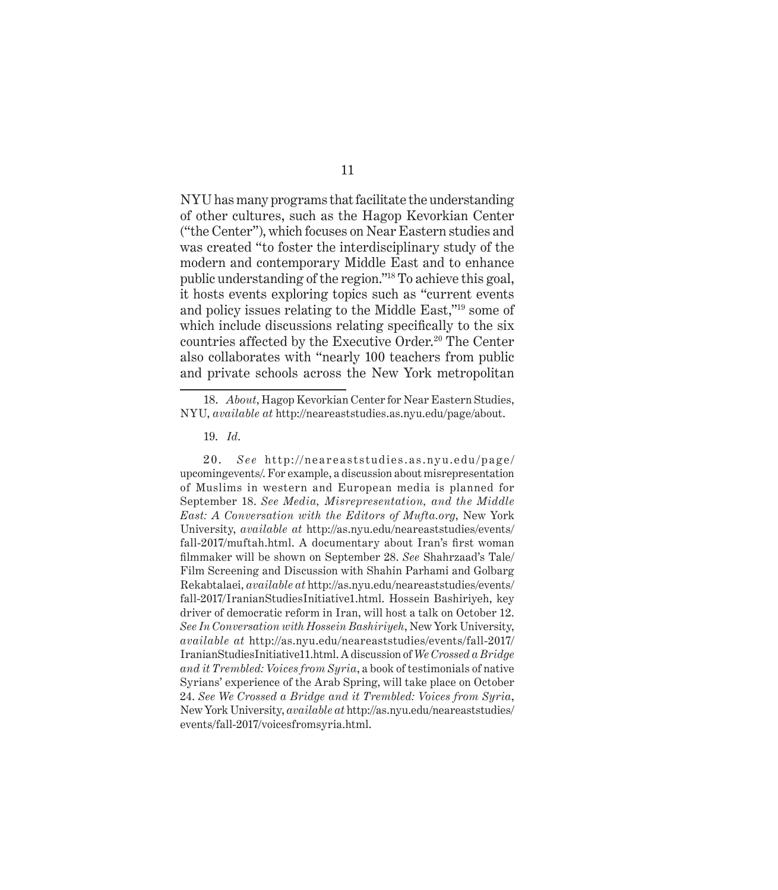NYU has many programs that facilitate the understanding of other cultures, such as the Hagop Kevorkian Center ("the Center"), which focuses on Near Eastern studies and was created "to foster the interdisciplinary study of the modern and contemporary Middle East and to enhance public understanding of the region."18 To achieve this goal, it hosts events exploring topics such as "current events and policy issues relating to the Middle East,"19 some of which include discussions relating specifically to the six countries affected by the Executive Order.<sup>20</sup> The Center also collaborates with "nearly 100 teachers from public and private schools across the New York metropolitan

20. *See* http://neareaststudies.as.nyu.edu/page/ upcomingevents/. For example, a discussion about misrepresentation of Muslims in western and European media is planned for September 18. *See Media, Misrepresentation, and the Middle East: A Conversation with the Editors of Mufta.org*, New York University, *available at* http://as.nyu.edu/neareaststudies/events/ fall-2017/muftah.html. A documentary about Iran's first woman filmmaker will be shown on September 28. *See* Shahrzaad's Tale/ Film Screening and Discussion with Shahin Parhami and Golbarg Rekabtalaei, *available at* http://as.nyu.edu/neareaststudies/events/ fall-2017/IranianStudiesInitiative1.html. Hossein Bashiriyeh, key driver of democratic reform in Iran, will host a talk on October 12. *See In Conversation with Hossein Bashiriyeh*, New York University, *available at* http://as.nyu.edu/neareaststudies/events/fall-2017/ IranianStudiesInitiative11.html. A discussion of *We Crossed a Bridge and it Trembled: Voices from Syria*, a book of testimonials of native Syrians' experience of the Arab Spring, will take place on October 24. *See We Crossed a Bridge and it Trembled: Voices from Syria*, New York University, *available at* http://as.nyu.edu/neareaststudies/ events/fall-2017/voicesfromsyria.html.

<sup>18.</sup> *About*, Hagop Kevorkian Center for Near Eastern Studies, NYU, *available at* http://neareaststudies.as.nyu.edu/page/about.

<sup>19.</sup> *Id*.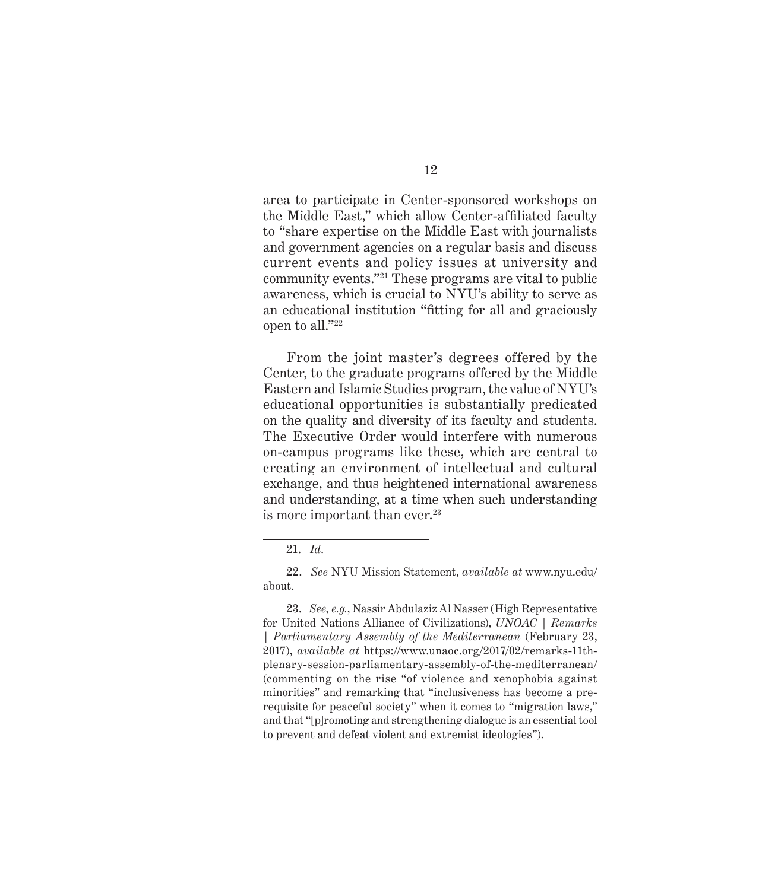area to participate in Center-sponsored workshops on the Middle East," which allow Center-affiliated faculty to "share expertise on the Middle East with journalists and government agencies on a regular basis and discuss current events and policy issues at university and community events."21 These programs are vital to public awareness, which is crucial to NYU's ability to serve as an educational institution "fitting for all and graciously open to all."22

From the joint master's degrees offered by the Center, to the graduate programs offered by the Middle Eastern and Islamic Studies program, the value of NYU's educational opportunities is substantially predicated on the quality and diversity of its faculty and students. The Executive Order would interfere with numerous on-campus programs like these, which are central to creating an environment of intellectual and cultural exchange, and thus heightened international awareness and understanding, at a time when such understanding is more important than ever. $23$ 

<sup>21.</sup> *Id*.

<sup>22.</sup> *See* NYU Mission Statement, *available at* www.nyu.edu/ about.

<sup>23.</sup> *See, e.g.*, Nassir Abdulaziz Al Nasser (High Representative for United Nations Alliance of Civilizations), *UNOAC | Remarks | Parliamentary Assembly of the Mediterranean* (February 23, 2017), *available at* https://www.unaoc.org/2017/02/remarks-11thplenary-session-parliamentary-assembly-of-the-mediterranean/ (commenting on the rise "of violence and xenophobia against minorities" and remarking that "inclusiveness has become a prerequisite for peaceful society" when it comes to "migration laws," and that "[p]romoting and strengthening dialogue is an essential tool to prevent and defeat violent and extremist ideologies").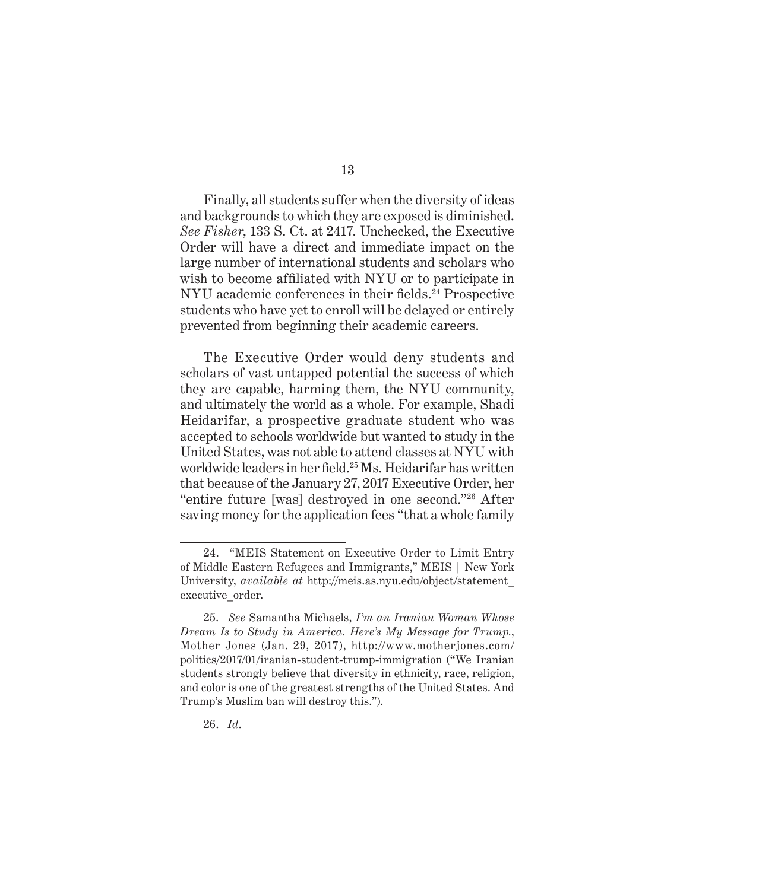13

Finally, all students suffer when the diversity of ideas and backgrounds to which they are exposed is diminished. *See Fisher*, 133 S. Ct. at 2417. Unchecked, the Executive Order will have a direct and immediate impact on the large number of international students and scholars who wish to become affiliated with NYU or to participate in NYU academic conferences in their fields.<sup>24</sup> Prospective students who have yet to enroll will be delayed or entirely prevented from beginning their academic careers.

The Executive Order would deny students and scholars of vast untapped potential the success of which they are capable, harming them, the NYU community, and ultimately the world as a whole. For example, Shadi Heidarifar, a prospective graduate student who was accepted to schools worldwide but wanted to study in the United States, was not able to attend classes at NYU with worldwide leaders in her field.25 Ms. Heidarifar has written that because of the January 27, 2017 Executive Order, her "entire future [was] destroyed in one second."26 After saving money for the application fees "that a whole family

26. *Id*.

<sup>24. &</sup>quot;MEIS Statement on Executive Order to Limit Entry of Middle Eastern Refugees and Immigrants," MEIS | New York University, *available at* http://meis.as.nyu.edu/object/statement\_ executive\_order.

<sup>25.</sup> *See* Samantha Michaels, *I'm an Iranian Woman Whose Dream Is to Study in America. Here's My Message for Trump.*, Mother Jones (Jan. 29, 2017), http://www.motherjones.com/ politics/2017/01/iranian-student-trump-immigration ("We Iranian students strongly believe that diversity in ethnicity, race, religion, and color is one of the greatest strengths of the United States. And Trump's Muslim ban will destroy this.").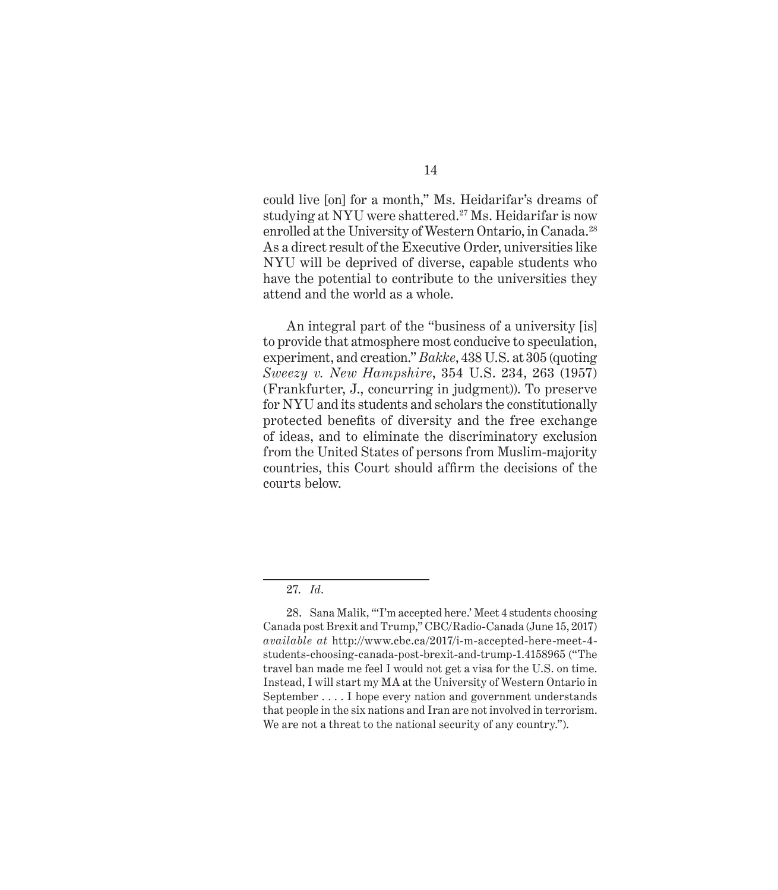could live [on] for a month," Ms. Heidarifar's dreams of studying at NYU were shattered.<sup>27</sup> Ms. Heidarifar is now enrolled at the University of Western Ontario, in Canada.<sup>28</sup> As a direct result of the Executive Order, universities like NYU will be deprived of diverse, capable students who have the potential to contribute to the universities they attend and the world as a whole.

An integral part of the "business of a university [is] to provide that atmosphere most conducive to speculation, experiment, and creation." *Bakke*, 438 U.S. at 305 (quoting *Sweezy v. New Hampshire*, 354 U.S. 234, 263 (1957) (Frankfurter, J., concurring in judgment)). To preserve for NYU and its students and scholars the constitutionally protected benefits of diversity and the free exchange of ideas, and to eliminate the discriminatory exclusion from the United States of persons from Muslim-majority countries, this Court should affirm the decisions of the courts below.

<sup>27.</sup> *Id*.

<sup>28.</sup> Sana Malik, "'I'm accepted here.' Meet 4 students choosing Canada post Brexit and Trump," CBC/Radio-Canada (June 15, 2017) *available at* http://www.cbc.ca/2017/i-m-accepted-here-meet-4 students-choosing-canada-post-brexit-and-trump-1.4158965 ("The travel ban made me feel I would not get a visa for the U.S. on time. Instead, I will start my MA at the University of Western Ontario in September . . . . I hope every nation and government understands that people in the six nations and Iran are not involved in terrorism. We are not a threat to the national security of any country.").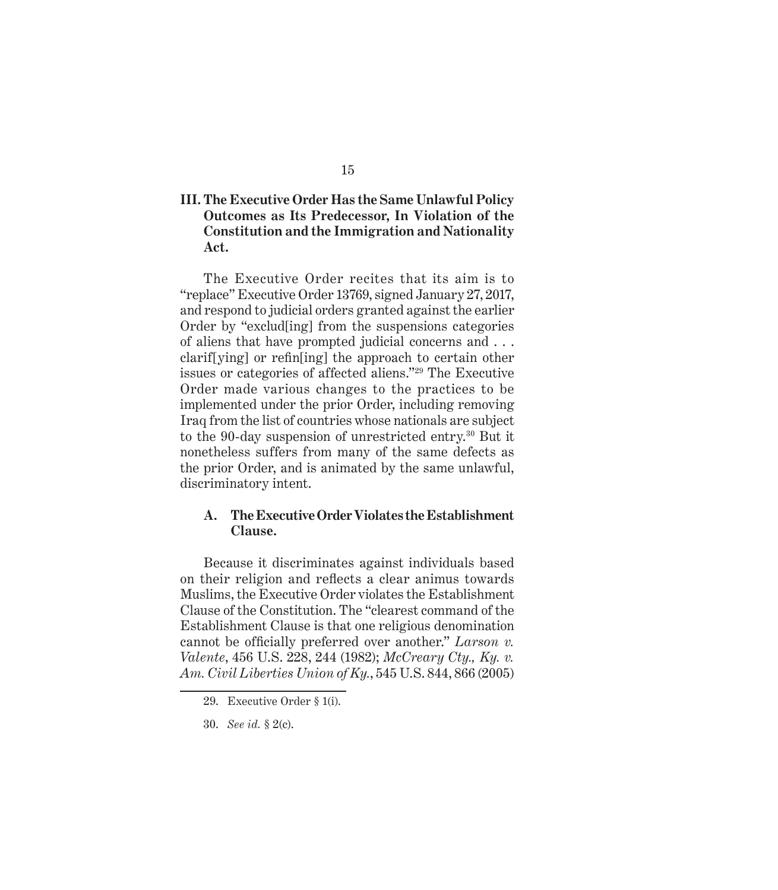### <span id="page-23-0"></span>**III. The Executive Order Has the Same Unlawful Policy Outcomes as Its Predecessor, In Violation of the Constitution and the Immigration and Nationality Act.**

The Executive Order recites that its aim is to "replace" Executive Order 13769, signed January 27, 2017, and respond to judicial orders granted against the earlier Order by "exclud[ing] from the suspensions categories of aliens that have prompted judicial concerns and . . . clarif[ying] or refin[ing] the approach to certain other issues or categories of affected aliens."29 The Executive Order made various changes to the practices to be implemented under the prior Order, including removing Iraq from the list of countries whose nationals are subject to the 90-day suspension of unrestricted entry.30 But it nonetheless suffers from many of the same defects as the prior Order, and is animated by the same unlawful, discriminatory intent.

### **A. The Executive Order Violates the Establishment Clause.**

Because it discriminates against individuals based on their religion and reflects a clear animus towards Muslims, the Executive Order violates the Establishment Clause of the Constitution. The "clearest command of the Establishment Clause is that one religious denomination cannot be officially preferred over another." *Larson v. Valente*, 456 U.S. 228, 244 (1982); *McCreary Cty., Ky. v. Am. Civil Liberties Union of Ky.*, 545 U.S. 844, 866 (2005)

<sup>29.</sup> Executive Order § 1(i).

<sup>30.</sup> *See id.* § 2(c).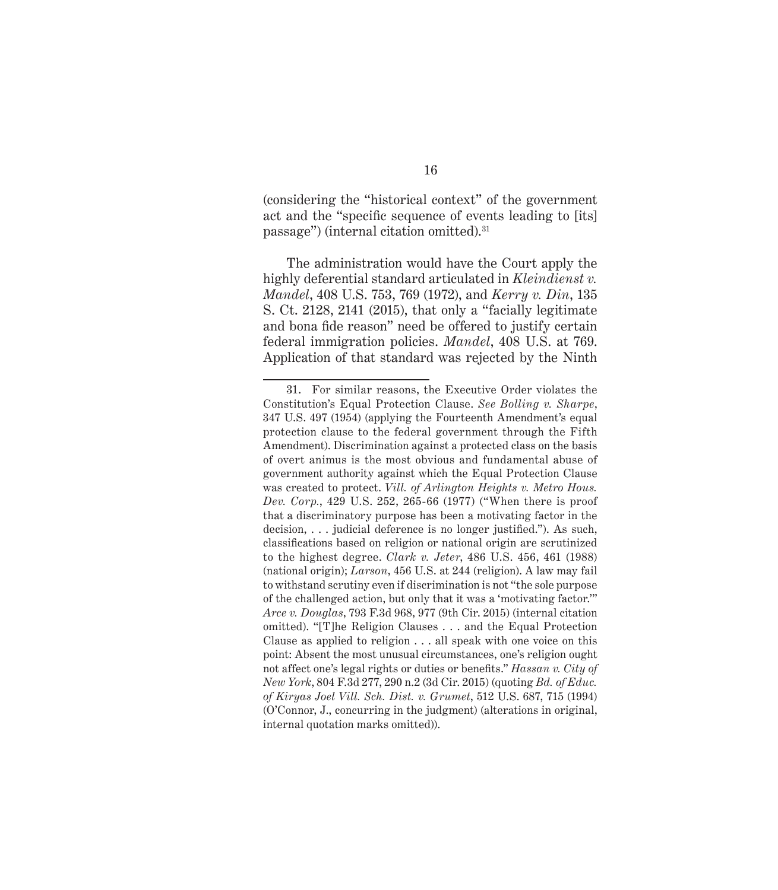(considering the "historical context" of the government act and the "specific sequence of events leading to [its] passage") (internal citation omitted).<sup>31</sup>

The administration would have the Court apply the highly deferential standard articulated in *Kleindienst v. Mandel*, 408 U.S. 753, 769 (1972), and *Kerry v. Din*, 135 S. Ct. 2128, 2141 (2015), that only a "facially legitimate and bona fide reason" need be offered to justify certain federal immigration policies. *Mandel*, 408 U.S. at 769. Application of that standard was rejected by the Ninth

<sup>31.</sup> For similar reasons, the Executive Order violates the Constitution's Equal Protection Clause. *See Bolling v. Sharpe*, 347 U.S. 497 (1954) (applying the Fourteenth Amendment's equal protection clause to the federal government through the Fifth Amendment). Discrimination against a protected class on the basis of overt animus is the most obvious and fundamental abuse of government authority against which the Equal Protection Clause was created to protect. *Vill. of Arlington Heights v. Metro Hous. Dev. Corp.*, 429 U.S. 252, 265-66 (1977) ("When there is proof that a discriminatory purpose has been a motivating factor in the decision, . . . judicial deference is no longer justified."). As such, classifications based on religion or national origin are scrutinized to the highest degree. *Clark v. Jeter*, 486 U.S. 456, 461 (1988) (national origin); *Larson*, 456 U.S. at 244 (religion). A law may fail to withstand scrutiny even if discrimination is not "the sole purpose of the challenged action, but only that it was a 'motivating factor.'" *Arce v. Douglas*, 793 F.3d 968, 977 (9th Cir. 2015) (internal citation omitted). "[T]he Religion Clauses . . . and the Equal Protection Clause as applied to religion . . . all speak with one voice on this point: Absent the most unusual circumstances, one's religion ought not affect one's legal rights or duties or benefits." *Hassan v. City of New York*, 804 F.3d 277, 290 n.2 (3d Cir. 2015) (quoting *Bd. of Educ. of Kiryas Joel Vill. Sch. Dist. v. Grumet*, 512 U.S. 687, 715 (1994) (O'Connor, J., concurring in the judgment) (alterations in original, internal quotation marks omitted)).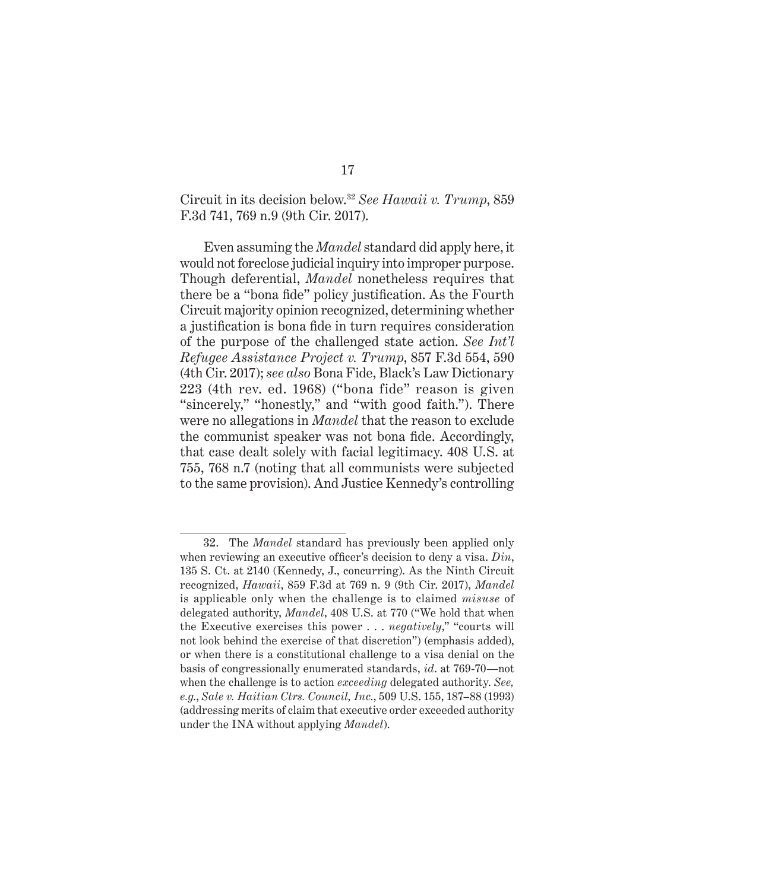#### Circuit in its decision below.32 *See Hawaii v. Trump*, 859 F.3d 741, 769 n.9 (9th Cir. 2017).

Even assuming the *Mandel* standard did apply here, it would not foreclose judicial inquiry into improper purpose. Though deferential, *Mandel* nonetheless requires that there be a "bona fide" policy justification. As the Fourth Circuit majority opinion recognized, determining whether a justification is bona fide in turn requires consideration of the purpose of the challenged state action. *See Int'l Refugee Assistance Project v. Trump*, 857 F.3d 554, 590 (4th Cir. 2017); *see also* Bona Fide, Black's Law Dictionary 223 (4th rev. ed. 1968) ("bona fide" reason is given "sincerely," "honestly," and "with good faith."). There were no allegations in *Mandel* that the reason to exclude the communist speaker was not bona fide. Accordingly, that case dealt solely with facial legitimacy. 408 U.S. at 755, 768 n.7 (noting that all communists were subjected to the same provision). And Justice Kennedy's controlling

<sup>32.</sup> The *Mandel* standard has previously been applied only when reviewing an executive officer's decision to deny a visa. *Din*, 135 S. Ct. at 2140 (Kennedy, J., concurring). As the Ninth Circuit recognized, *Hawaii*, 859 F.3d at 769 n. 9 (9th Cir. 2017), *Mandel* is applicable only when the challenge is to claimed *misuse* of delegated authority, *Mandel*, 408 U.S. at 770 ("We hold that when the Executive exercises this power . . . *negatively*," "courts will not look behind the exercise of that discretion") (emphasis added), or when there is a constitutional challenge to a visa denial on the basis of congressionally enumerated standards, *id*. at 769-70—not when the challenge is to action *exceeding* delegated authority. *See, e.g.*, *Sale v. Haitian Ctrs. Council, Inc.*, 509 U.S. 155, 187–88 (1993) (addressing merits of claim that executive order exceeded authority under the INA without applying *Mandel*).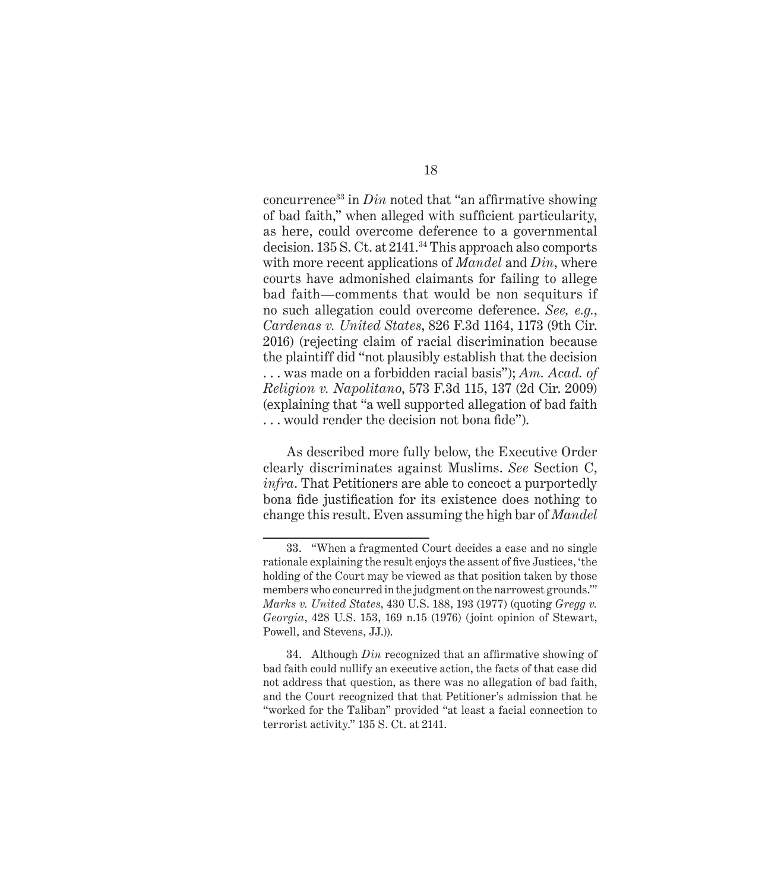concurrence33 in *Din* noted that "an affirmative showing of bad faith," when alleged with sufficient particularity, as here, could overcome deference to a governmental decision. 135 S. Ct. at 2141.<sup>34</sup> This approach also comports with more recent applications of *Mandel* and *Din*, where courts have admonished claimants for failing to allege bad faith—comments that would be non sequiturs if no such allegation could overcome deference. *See, e.g.*, *Cardenas v. United States*, 826 F.3d 1164, 1173 (9th Cir. 2016) (rejecting claim of racial discrimination because the plaintiff did "not plausibly establish that the decision . . . was made on a forbidden racial basis"); *Am. Acad. of Religion v. Napolitano*, 573 F.3d 115, 137 (2d Cir. 2009) (explaining that "a well supported allegation of bad faith . . . would render the decision not bona fide").

As described more fully below, the Executive Order clearly discriminates against Muslims. *See* Section C, *infra*. That Petitioners are able to concoct a purportedly bona fide justification for its existence does nothing to change this result. Even assuming the high bar of *Mandel*

<sup>33. &</sup>quot;When a fragmented Court decides a case and no single rationale explaining the result enjoys the assent of five Justices, 'the holding of the Court may be viewed as that position taken by those members who concurred in the judgment on the narrowest grounds.'" *Marks v. United States*, 430 U.S. 188, 193 (1977) (quoting *Gregg v. Georgia*, 428 U.S. 153, 169 n.15 (1976) (joint opinion of Stewart, Powell, and Stevens, JJ.)).

<sup>34.</sup> Although *Din* recognized that an affirmative showing of bad faith could nullify an executive action, the facts of that case did not address that question, as there was no allegation of bad faith, and the Court recognized that that Petitioner's admission that he "worked for the Taliban" provided "at least a facial connection to terrorist activity." 135 S. Ct. at 2141.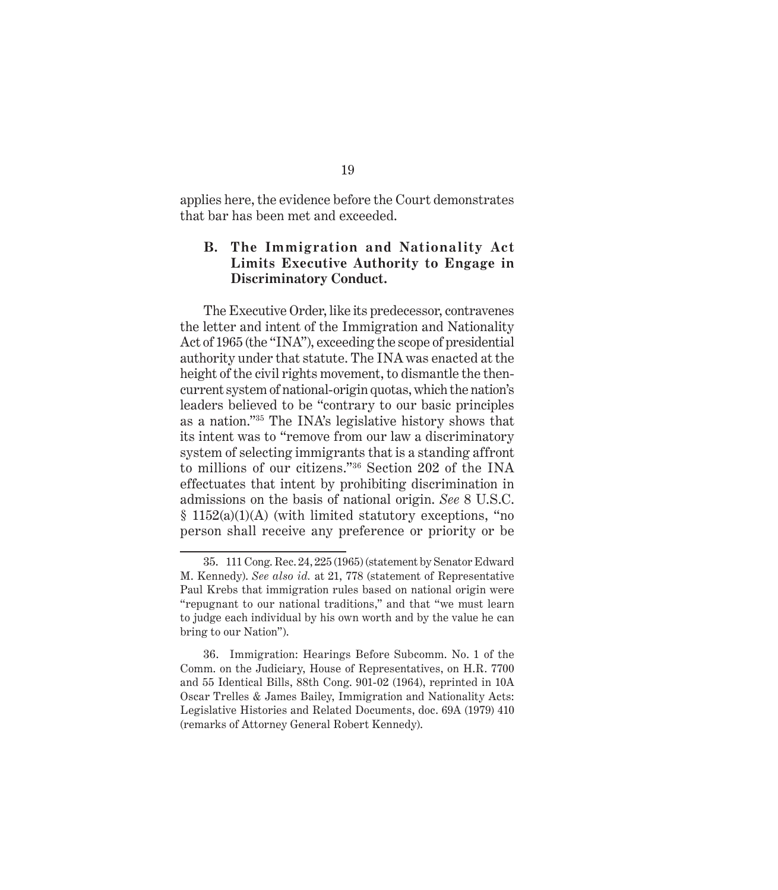<span id="page-27-0"></span>applies here, the evidence before the Court demonstrates that bar has been met and exceeded.

### **B. The Immigration and Nationality Act Limits Executive Authority to Engage in Discriminatory Conduct.**

The Executive Order, like its predecessor, contravenes the letter and intent of the Immigration and Nationality Act of 1965 (the "INA"), exceeding the scope of presidential authority under that statute. The INA was enacted at the height of the civil rights movement, to dismantle the thencurrent system of national-origin quotas, which the nation's leaders believed to be "contrary to our basic principles as a nation."35 The INA's legislative history shows that its intent was to "remove from our law a discriminatory system of selecting immigrants that is a standing affront to millions of our citizens."36 Section 202 of the INA effectuates that intent by prohibiting discrimination in admissions on the basis of national origin. *See* 8 U.S.C.  $§ 1152(a)(1)(A)$  (with limited statutory exceptions, "no person shall receive any preference or priority or be

<sup>35. 111</sup> Cong. Rec. 24, 225 (1965) (statement by Senator Edward M. Kennedy). *See also id.* at 21, 778 (statement of Representative Paul Krebs that immigration rules based on national origin were "repugnant to our national traditions," and that "we must learn to judge each individual by his own worth and by the value he can bring to our Nation").

<sup>36.</sup> Immigration: Hearings Before Subcomm. No. 1 of the Comm. on the Judiciary, House of Representatives, on H.R. 7700 and 55 Identical Bills, 88th Cong. 901-02 (1964), reprinted in 10A Oscar Trelles & James Bailey, Immigration and Nationality Acts: Legislative Histories and Related Documents, doc. 69A (1979) 410 (remarks of Attorney General Robert Kennedy).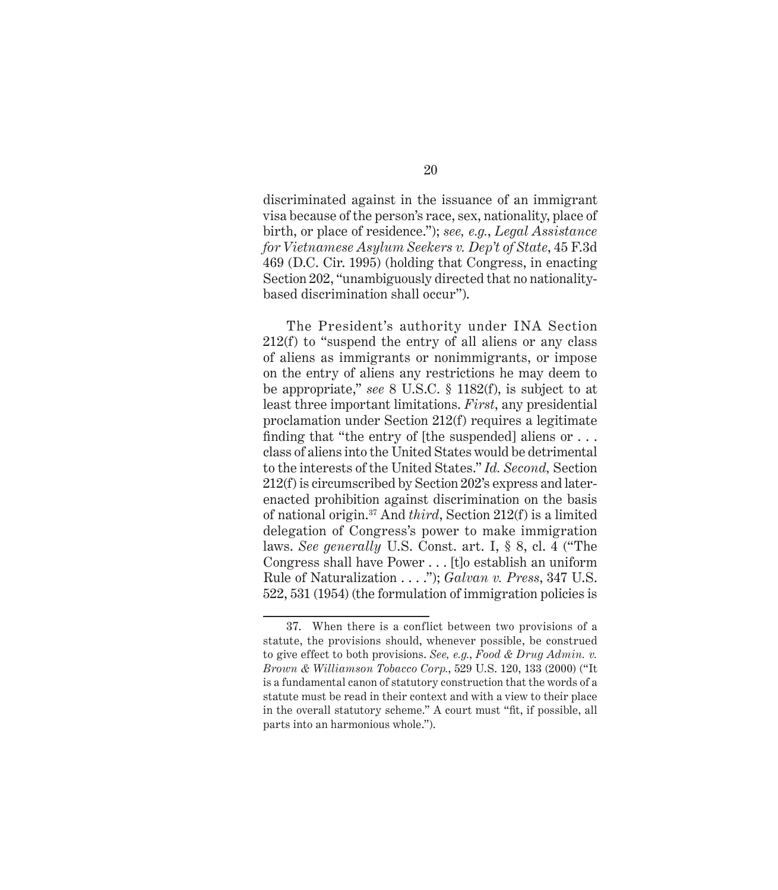discriminated against in the issuance of an immigrant visa because of the person's race, sex, nationality, place of birth, or place of residence."); *see, e.g.*, *Legal Assistance for Vietnamese Asylum Seekers v. Dep't of State*, 45 F.3d 469 (D.C. Cir. 1995) (holding that Congress, in enacting Section 202, "unambiguously directed that no nationalitybased discrimination shall occur").

The President's authority under INA Section 212(f) to "suspend the entry of all aliens or any class of aliens as immigrants or nonimmigrants, or impose on the entry of aliens any restrictions he may deem to be appropriate," *see* 8 U.S.C. § 1182(f), is subject to at least three important limitations. *First*, any presidential proclamation under Section 212(f) requires a legitimate finding that "the entry of [the suspended] aliens or  $\dots$ class of aliens into the United States would be detrimental to the interests of the United States." *Id. Second,* Section 212(f) is circumscribed by Section 202's express and laterenacted prohibition against discrimination on the basis of national origin.37 And *third*, Section 212(f) is a limited delegation of Congress's power to make immigration laws. *See generally* U.S. Const. art. I, § 8, cl. 4 ("The Congress shall have Power . . . [t]o establish an uniform Rule of Naturalization . . . ."); *Galvan v. Press*, 347 U.S. 522, 531 (1954) (the formulation of immigration policies is

<sup>37.</sup> When there is a conflict between two provisions of a statute, the provisions should, whenever possible, be construed to give effect to both provisions. *See, e.g.*, *Food & Drug Admin. v. Brown & Williamson Tobacco Corp.*, 529 U.S. 120, 133 (2000) ("It is a fundamental canon of statutory construction that the words of a statute must be read in their context and with a view to their place in the overall statutory scheme." A court must "fit, if possible, all parts into an harmonious whole.").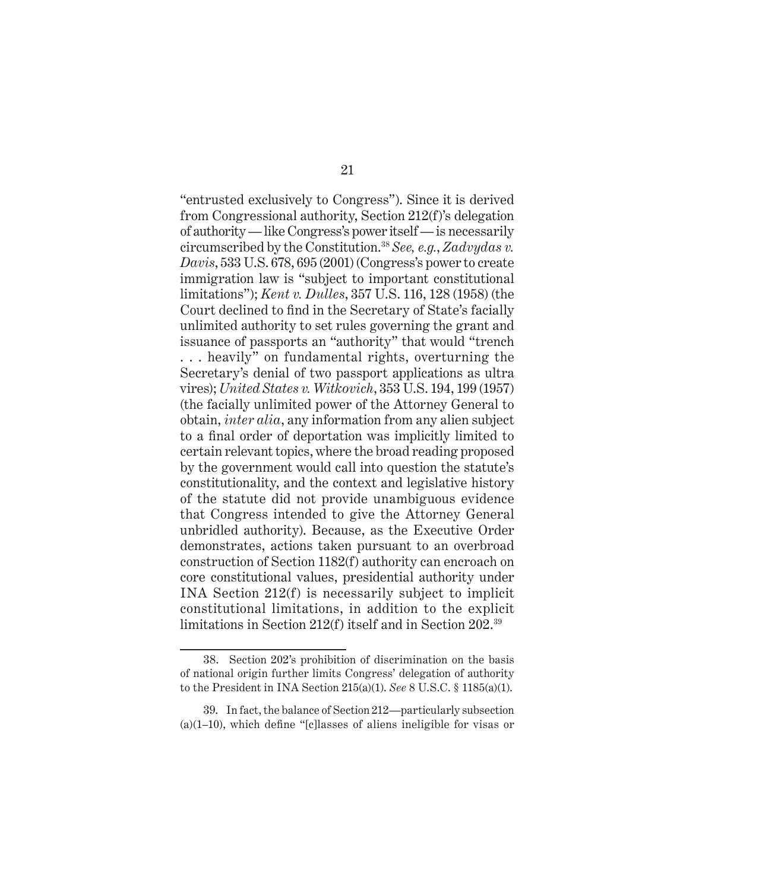"entrusted exclusively to Congress"). Since it is derived from Congressional authority, Section 212(f)'s delegation of authority — like Congress's power itself — is necessarily circumscribed by the Constitution.38 *See, e.g.*, *Zadvydas v. Davis*, 533 U.S. 678, 695 (2001) (Congress's power to create immigration law is "subject to important constitutional limitations"); *Kent v. Dulles*, 357 U.S. 116, 128 (1958) (the Court declined to find in the Secretary of State's facially unlimited authority to set rules governing the grant and issuance of passports an "authority" that would "trench . . . heavily" on fundamental rights, overturning the Secretary's denial of two passport applications as ultra vires); *United States v. Witkovich*, 353 U.S. 194, 199 (1957) (the facially unlimited power of the Attorney General to obtain, *inter alia*, any information from any alien subject to a final order of deportation was implicitly limited to certain relevant topics, where the broad reading proposed by the government would call into question the statute's constitutionality, and the context and legislative history of the statute did not provide unambiguous evidence that Congress intended to give the Attorney General unbridled authority). Because, as the Executive Order demonstrates, actions taken pursuant to an overbroad construction of Section 1182(f) authority can encroach on core constitutional values, presidential authority under INA Section 212(f) is necessarily subject to implicit constitutional limitations, in addition to the explicit limitations in Section 212(f) itself and in Section 202.39

<sup>38.</sup> Section 202's prohibition of discrimination on the basis of national origin further limits Congress' delegation of authority to the President in INA Section 215(a)(1). *See* 8 U.S.C. § 1185(a)(1).

<sup>39.</sup> In fact, the balance of Section 212—particularly subsection  $(a)(1-10)$ , which define "[c] lasses of aliens ineligible for visas or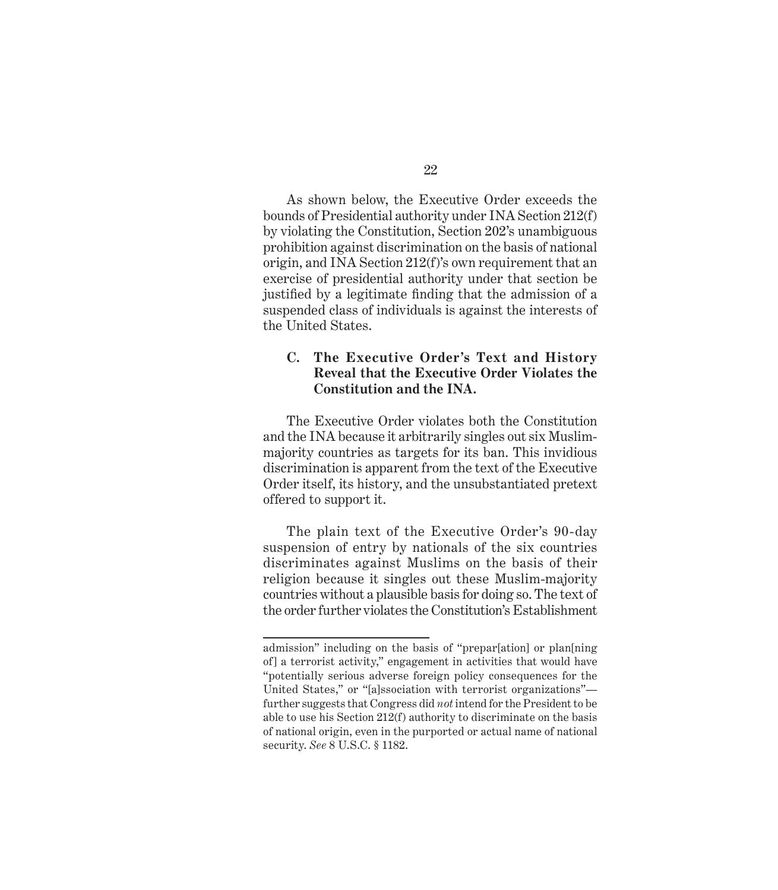<span id="page-30-0"></span>As shown below, the Executive Order exceeds the bounds of Presidential authority under INA Section 212(f) by violating the Constitution, Section 202's unambiguous prohibition against discrimination on the basis of national origin, and INA Section 212(f)'s own requirement that an exercise of presidential authority under that section be justified by a legitimate finding that the admission of a suspended class of individuals is against the interests of the United States.

### **C. The Executive Order's Text and History Reveal that the Executive Order Violates the Constitution and the INA.**

The Executive Order violates both the Constitution and the INA because it arbitrarily singles out six Muslimmajority countries as targets for its ban. This invidious discrimination is apparent from the text of the Executive Order itself, its history, and the unsubstantiated pretext offered to support it.

The plain text of the Executive Order's 90-day suspension of entry by nationals of the six countries discriminates against Muslims on the basis of their religion because it singles out these Muslim-majority countries without a plausible basis for doing so. The text of the order further violates the Constitution's Establishment

admission" including on the basis of "prepar[ation] or plan[ning of] a terrorist activity," engagement in activities that would have "potentially serious adverse foreign policy consequences for the United States," or "[a]ssociation with terrorist organizations" further suggests that Congress did *not* intend for the President to be able to use his Section 212(f) authority to discriminate on the basis of national origin, even in the purported or actual name of national security. *See* 8 U.S.C. § 1182.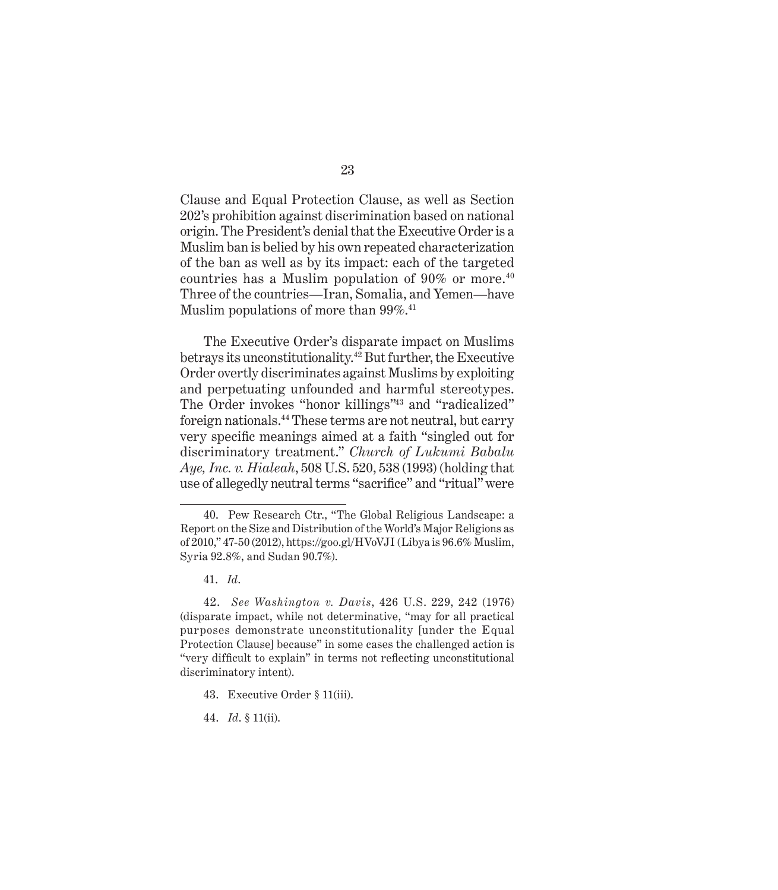Clause and Equal Protection Clause, as well as Section 202's prohibition against discrimination based on national origin. The President's denial that the Executive Order is a Muslim ban is belied by his own repeated characterization of the ban as well as by its impact: each of the targeted countries has a Muslim population of  $90\%$  or more.<sup>40</sup> Three of the countries—Iran, Somalia, and Yemen—have Muslim populations of more than 99%.<sup>41</sup>

The Executive Order's disparate impact on Muslims betrays its unconstitutionality.42 But further, the Executive Order overtly discriminates against Muslims by exploiting and perpetuating unfounded and harmful stereotypes. The Order invokes "honor killings"43 and "radicalized" foreign nationals.44 These terms are not neutral, but carry very specific meanings aimed at a faith "singled out for discriminatory treatment." *Church of Lukumi Babalu Aye, Inc. v. Hialeah*, 508 U.S. 520, 538 (1993) (holding that use of allegedly neutral terms "sacrifice" and "ritual" were

<sup>40.</sup> Pew Research Ctr., "The Global Religious Landscape: a Report on the Size and Distribution of the World's Major Religions as of 2010," 47-50 (2012), https://goo.gl/HVoVJI (Libya is 96.6% Muslim, Syria 92.8%, and Sudan 90.7%).

<sup>41.</sup> *Id*.

<sup>42.</sup> *See Washington v. Davis*, 426 U.S. 229, 242 (1976) (disparate impact, while not determinative, "may for all practical purposes demonstrate unconstitutionality [under the Equal Protection Clause] because" in some cases the challenged action is "very difficult to explain" in terms not reflecting unconstitutional discriminatory intent).

<sup>43.</sup> Executive Order § 11(iii).

<sup>44.</sup> *Id*. § 11(ii).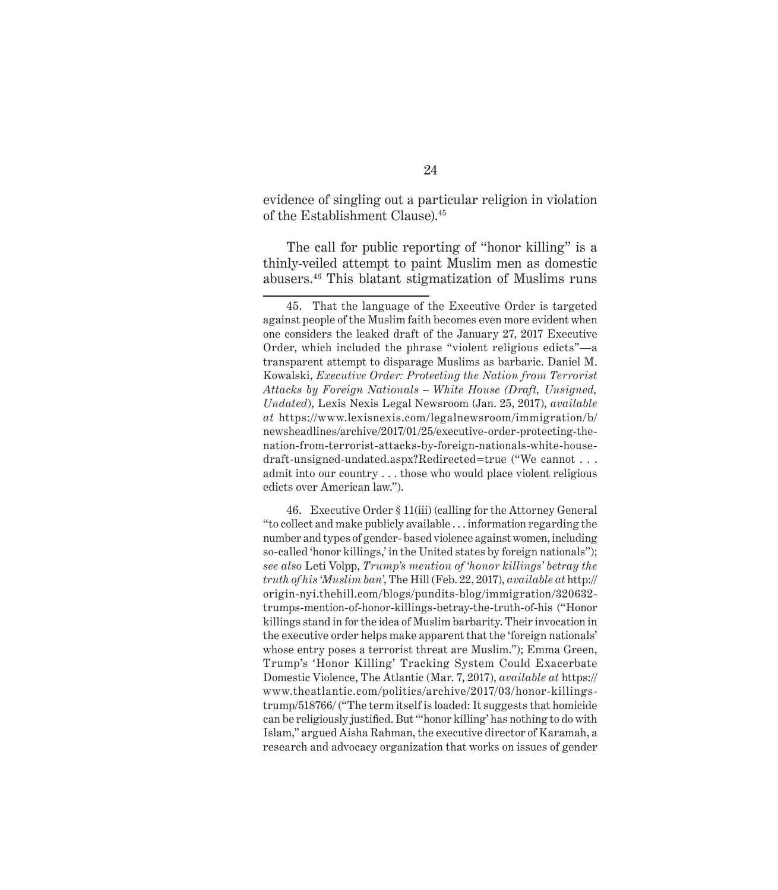evidence of singling out a particular religion in violation of the Establishment Clause).45

The call for public reporting of "honor killing" is a thinly-veiled attempt to paint Muslim men as domestic abusers.46 This blatant stigmatization of Muslims runs

46. Executive Order § 11(iii) (calling for the Attorney General "to collect and make publicly available . . . information regarding the number and types of gender- based violence against women, including so-called 'honor killings,' in the United states by foreign nationals"); *see also* Leti Volpp, *Trump's mention of 'honor killings' betray the truth of his 'Muslim ban'*, The Hill (Feb. 22, 2017), *available at* http:// origin-nyi.thehill.com/blogs/pundits-blog/immigration/320632 trumps-mention-of-honor-killings-betray-the-truth-of-his ("Honor killings stand in for the idea of Muslim barbarity. Their invocation in the executive order helps make apparent that the 'foreign nationals' whose entry poses a terrorist threat are Muslim."); Emma Green, Trump's 'Honor Killing' Tracking System Could Exacerbate Domestic Violence, The Atlantic (Mar. 7, 2017), *available at* https:// www.theatlantic.com/politics/archive/2017/03/honor-killingstrump/518766/ ("The term itself is loaded: It suggests that homicide can be religiously justified. But "'honor killing' has nothing to do with Islam," argued Aisha Rahman, the executive director of Karamah, a research and advocacy organization that works on issues of gender

<sup>45.</sup> That the language of the Executive Order is targeted against people of the Muslim faith becomes even more evident when one considers the leaked draft of the January 27, 2017 Executive Order, which included the phrase "violent religious edicts"—a transparent attempt to disparage Muslims as barbaric. Daniel M. Kowalski, *Executive Order: Protecting the Nation from Terrorist Attacks by Foreign Nationals – White House (Draft, Unsigned, Undated*), Lexis Nexis Legal Newsroom (Jan. 25, 2017), *available at* https://www.lexisnexis.com/legalnewsroom/immigration/b/ newsheadlines/archive/2017/01/25/executive-order-protecting-thenation-from-terrorist-attacks-by-foreign-nationals-white-housedraft-unsigned-undated.aspx?Redirected=true ("We cannot . . . admit into our country . . . those who would place violent religious edicts over American law.").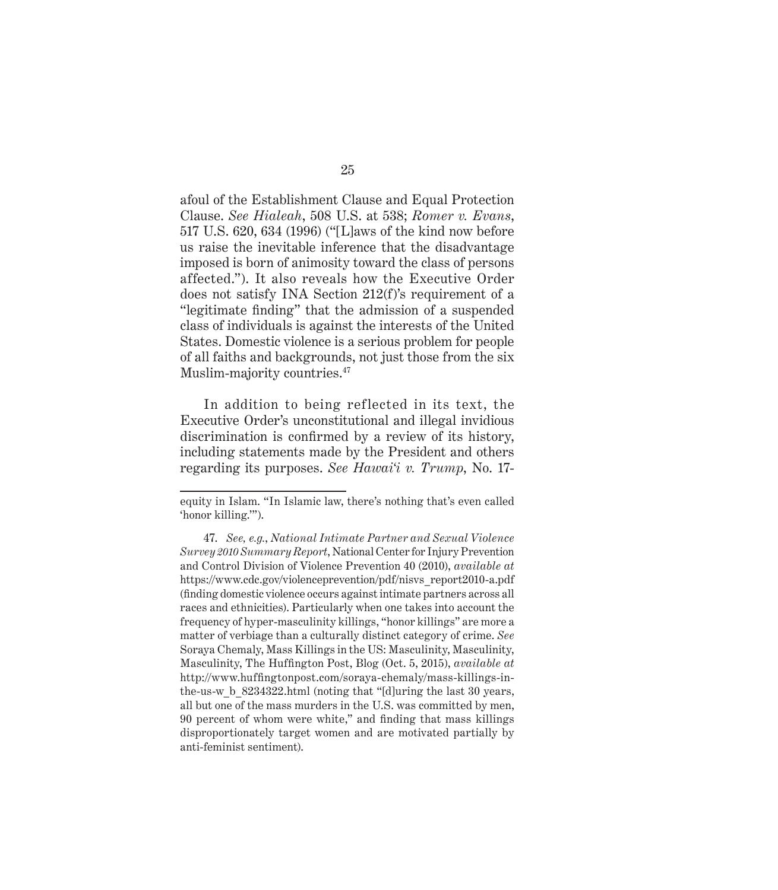afoul of the Establishment Clause and Equal Protection Clause. *See Hialeah*, 508 U.S. at 538; *Romer v. Evans*, 517 U.S. 620, 634 (1996) ("[L]aws of the kind now before us raise the inevitable inference that the disadvantage imposed is born of animosity toward the class of persons affected."). It also reveals how the Executive Order does not satisfy INA Section 212(f)'s requirement of a "legitimate finding" that the admission of a suspended class of individuals is against the interests of the United States. Domestic violence is a serious problem for people of all faiths and backgrounds, not just those from the six Muslim-majority countries.<sup>47</sup>

In addition to being reflected in its text, the Executive Order's unconstitutional and illegal invidious discrimination is confirmed by a review of its history, including statements made by the President and others regarding its purposes. *See Hawai'i v. Trump*, No. 17-

equity in Islam. "In Islamic law, there's nothing that's even called 'honor killing.'").

<sup>47.</sup> *See, e.g.*, *National Intimate Partner and Sexual Violence Survey 2010 Summary Report*, National Center for Injury Prevention and Control Division of Violence Prevention 40 (2010), *available at*  https://www.cdc.gov/violenceprevention/pdf/nisvs\_report2010-a.pdf (finding domestic violence occurs against intimate partners across all races and ethnicities). Particularly when one takes into account the frequency of hyper-masculinity killings, "honor killings" are more a matter of verbiage than a culturally distinct category of crime. *See* Soraya Chemaly, Mass Killings in the US: Masculinity, Masculinity, Masculinity, The Huffington Post, Blog (Oct. 5, 2015), *available at* http://www.huffingtonpost.com/soraya-chemaly/mass-killings-inthe-us-w\_b\_8234322.html (noting that "[d]uring the last 30 years, all but one of the mass murders in the U.S. was committed by men, 90 percent of whom were white," and finding that mass killings disproportionately target women and are motivated partially by anti-feminist sentiment).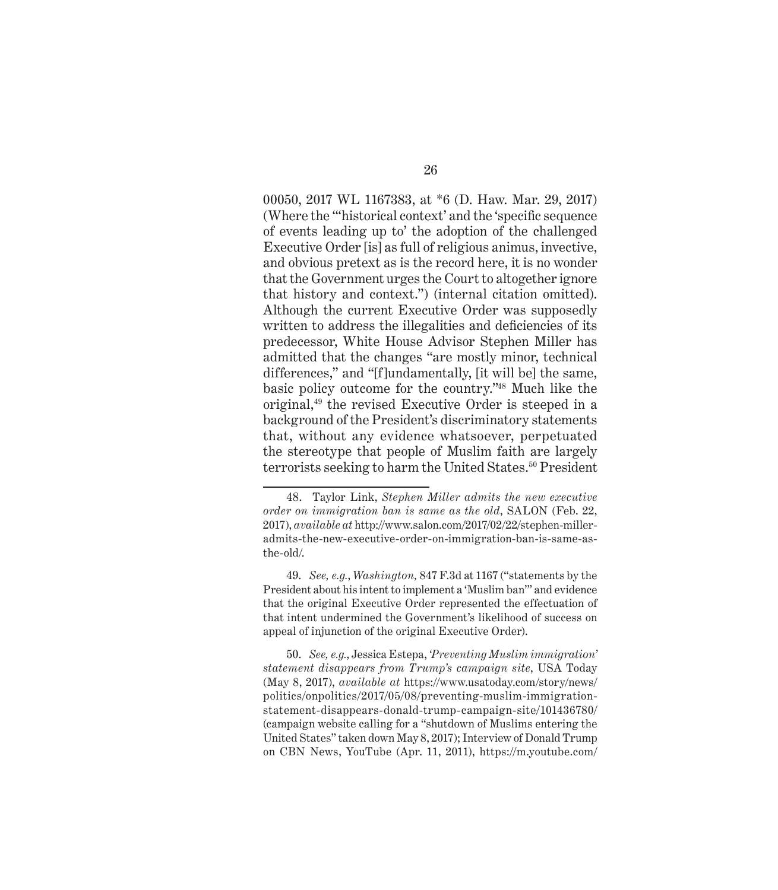00050, 2017 WL 1167383, at \*6 (D. Haw. Mar. 29, 2017) (Where the "'historical context' and the 'specific sequence of events leading up to' the adoption of the challenged Executive Order [is] as full of religious animus, invective, and obvious pretext as is the record here, it is no wonder that the Government urges the Court to altogether ignore that history and context.") (internal citation omitted). Although the current Executive Order was supposedly written to address the illegalities and deficiencies of its predecessor, White House Advisor Stephen Miller has admitted that the changes "are mostly minor, technical differences," and "[f]undamentally, [it will be] the same, basic policy outcome for the country."48 Much like the original,49 the revised Executive Order is steeped in a background of the President's discriminatory statements that, without any evidence whatsoever, perpetuated the stereotype that people of Muslim faith are largely terrorists seeking to harm the United States.<sup>50</sup> President

49. *See, e.g.*, *Washington,* 847 F.3d at 1167 ("statements by the President about his intent to implement a 'Muslim ban'" and evidence that the original Executive Order represented the effectuation of that intent undermined the Government's likelihood of success on appeal of injunction of the original Executive Order).

50. *See, e.g.*, Jessica Estepa, *'Preventing Muslim immigration' statement disappears from Trump's campaign site*, USA Today (May 8, 2017), *available at* https://www.usatoday.com/story/news/ politics/onpolitics/2017/05/08/preventing-muslim-immigrationstatement-disappears-donald-trump-campaign-site/101436780/ (campaign website calling for a "shutdown of Muslims entering the United States" taken down May 8, 2017); Interview of Donald Trump on CBN News, YouTube (Apr. 11, 2011), https://m.youtube.com/

<sup>48.</sup> Taylor Link, *Stephen Miller admits the new executive order on immigration ban is same as the old*, SALON (Feb. 22, 2017), *available at* http://www.salon.com/2017/02/22/stephen-milleradmits-the-new-executive-order-on-immigration-ban-is-same-asthe-old/.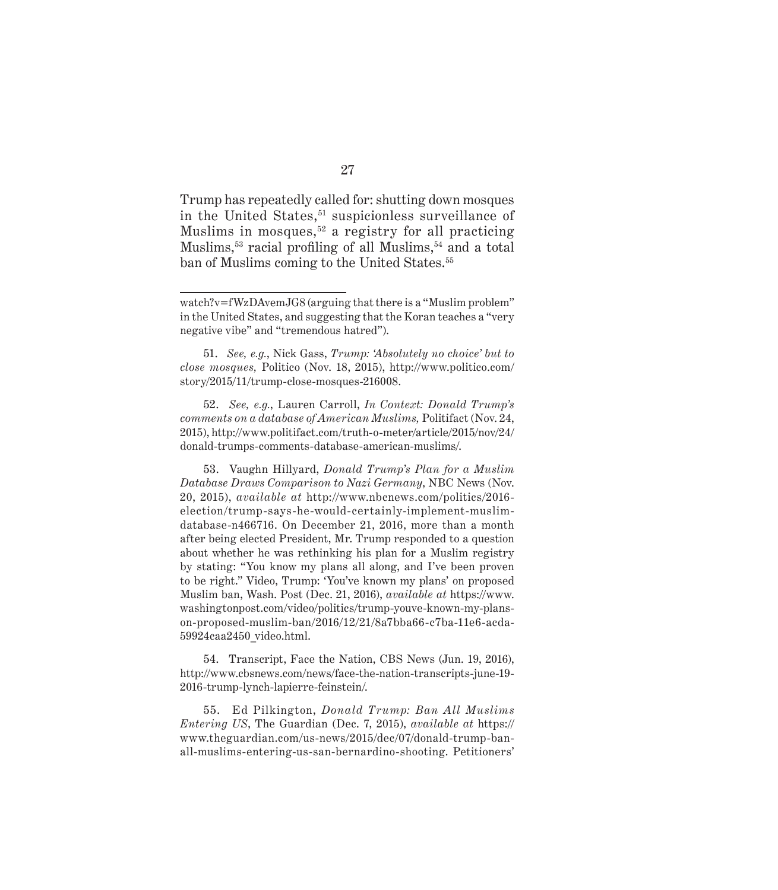Trump has repeatedly called for: shutting down mosques in the United States,<sup>51</sup> suspicionless surveillance of Muslims in mosques, $52$  a registry for all practicing Muslims, $53$  racial profiling of all Muslims, $54$  and a total ban of Muslims coming to the United States.<sup>55</sup>

51. *See, e.g.*, Nick Gass, *Trump: 'Absolutely no choice' but to close mosques,* Politico (Nov. 18, 2015), http://www.politico.com/ story/2015/11/trump-close-mosques-216008.

52. *See, e.g.*, Lauren Carroll, *In Context: Donald Trump's comments on a database of American Muslims,* Politifact (Nov. 24, 2015), http://www.politifact.com/truth-o-meter/article/2015/nov/24/ donald-trumps-comments-database-american-muslims/.

53. Vaughn Hillyard, *Donald Trump's Plan for a Muslim Database Draws Comparison to Nazi Germany*, NBC News (Nov. 20, 2015), *available at* http://www.nbcnews.com/politics/2016 election/trump-says-he-would-certainly-implement-muslimdatabase-n466716. On December 21, 2016, more than a month after being elected President, Mr. Trump responded to a question about whether he was rethinking his plan for a Muslim registry by stating: "You know my plans all along, and I've been proven to be right." Video, Trump: 'You've known my plans' on proposed Muslim ban, Wash. Post (Dec. 21, 2016), *available at* https://www. washingtonpost.com/video/politics/trump-youve-known-my-planson-proposed-muslim-ban/2016/12/21/8a7bba66-c7ba-11e6-acda-59924caa2450\_video.html.

54. Transcript, Face the Nation, CBS News (Jun. 19, 2016), http://www.cbsnews.com/news/face-the-nation-transcripts-june-19- 2016-trump-lynch-lapierre-feinstein/.

55. Ed Pilkington, *Donald Trump: Ban All Muslims Entering US*, The Guardian (Dec. 7, 2015), *available at* https:// www.theguardian.com/us-news/2015/dec/07/donald-trump-banall-muslims-entering-us-san-bernardino-shooting. Petitioners'

watch?v=fWzDAvemJG8 (arguing that there is a "Muslim problem" in the United States, and suggesting that the Koran teaches a "very negative vibe" and "tremendous hatred").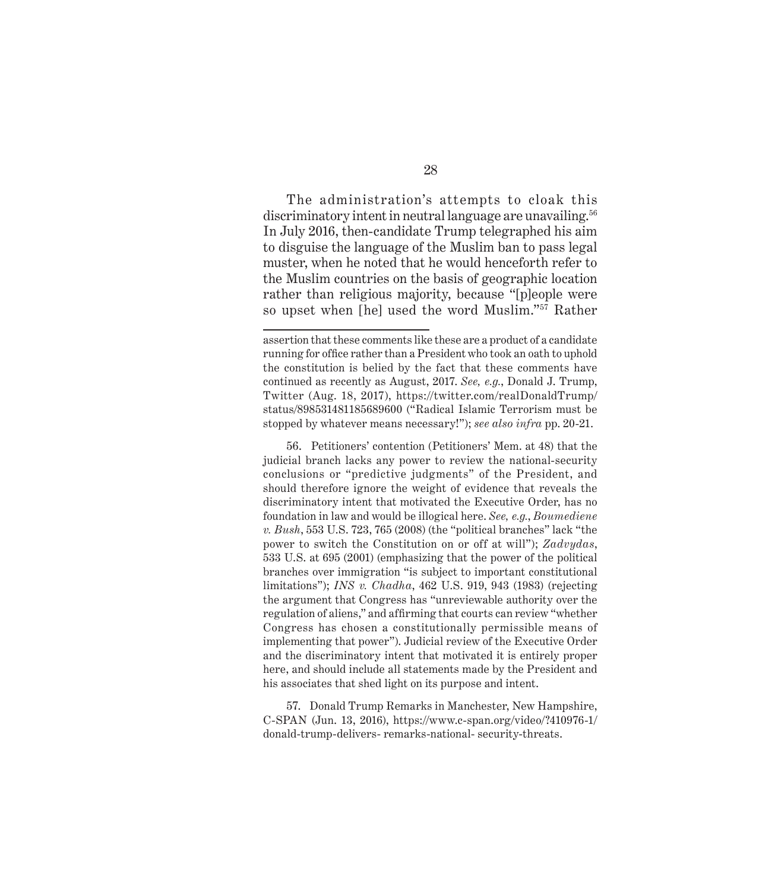The administration's attempts to cloak this discriminatory intent in neutral language are unavailing.<sup>56</sup> In July 2016, then-candidate Trump telegraphed his aim to disguise the language of the Muslim ban to pass legal muster, when he noted that he would henceforth refer to the Muslim countries on the basis of geographic location rather than religious majority, because "[p]eople were so upset when [he] used the word Muslim."57 Rather

56. Petitioners' contention (Petitioners' Mem. at 48) that the judicial branch lacks any power to review the national-security conclusions or "predictive judgments" of the President, and should therefore ignore the weight of evidence that reveals the discriminatory intent that motivated the Executive Order, has no foundation in law and would be illogical here. *See, e.g.*, *Boumediene v. Bush*, 553 U.S. 723, 765 (2008) (the "political branches" lack "the power to switch the Constitution on or off at will"); *Zadvydas*, 533 U.S. at 695 (2001) (emphasizing that the power of the political branches over immigration "is subject to important constitutional limitations"); *INS v. Chadha*, 462 U.S. 919, 943 (1983) (rejecting the argument that Congress has "unreviewable authority over the regulation of aliens," and affirming that courts can review "whether Congress has chosen a constitutionally permissible means of implementing that power"). Judicial review of the Executive Order and the discriminatory intent that motivated it is entirely proper here, and should include all statements made by the President and his associates that shed light on its purpose and intent.

57. Donald Trump Remarks in Manchester, New Hampshire, C-SPAN (Jun. 13, 2016), https://www.c-span.org/video/?410976-1/ donald-trump-delivers- remarks-national- security-threats.

assertion that these comments like these are a product of a candidate running for office rather than a President who took an oath to uphold the constitution is belied by the fact that these comments have continued as recently as August, 2017. *See, e.g.*, Donald J. Trump, Twitter (Aug. 18, 2017), https://twitter.com/realDonaldTrump/ status/898531481185689600 ("Radical Islamic Terrorism must be stopped by whatever means necessary!"); *see also infra* pp. 20-21.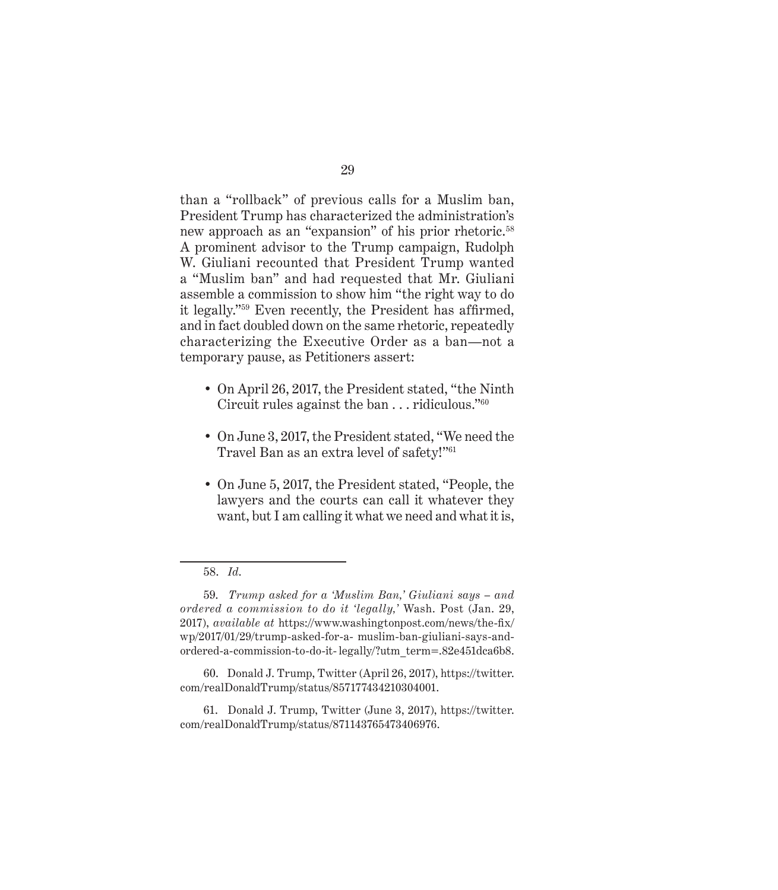than a "rollback" of previous calls for a Muslim ban, President Trump has characterized the administration's new approach as an "expansion" of his prior rhetoric.<sup>58</sup> A prominent advisor to the Trump campaign, Rudolph W. Giuliani recounted that President Trump wanted a "Muslim ban" and had requested that Mr. Giuliani assemble a commission to show him "the right way to do it legally."59 Even recently, the President has affirmed, and in fact doubled down on the same rhetoric, repeatedly characterizing the Executive Order as a ban—not a temporary pause, as Petitioners assert:

- On April 26, 2017, the President stated, "the Ninth Circuit rules against the ban . . . ridiculous."60
- On June 3, 2017, the President stated, "We need the Travel Ban as an extra level of safety!"61
- On June 5, 2017, the President stated, "People, the lawyers and the courts can call it whatever they want, but I am calling it what we need and what it is,

<sup>58.</sup> *Id*.

<sup>59.</sup> *Trump asked for a 'Muslim Ban,' Giuliani says – and ordered a commission to do it 'legally,'* Wash. Post (Jan. 29, 2017), *available at* https://www.washingtonpost.com/news/the-fix/ wp/2017/01/29/trump-asked-for-a- muslim-ban-giuliani-says-andordered-a-commission-to-do-it- legally/?utm\_term=.82e451dca6b8.

<sup>60.</sup> Donald J. Trump, Twitter (April 26, 2017), https://twitter. com/realDonaldTrump/status/857177434210304001.

<sup>61.</sup> Donald J. Trump, Twitter (June 3, 2017), https://twitter. com/realDonaldTrump/status/871143765473406976.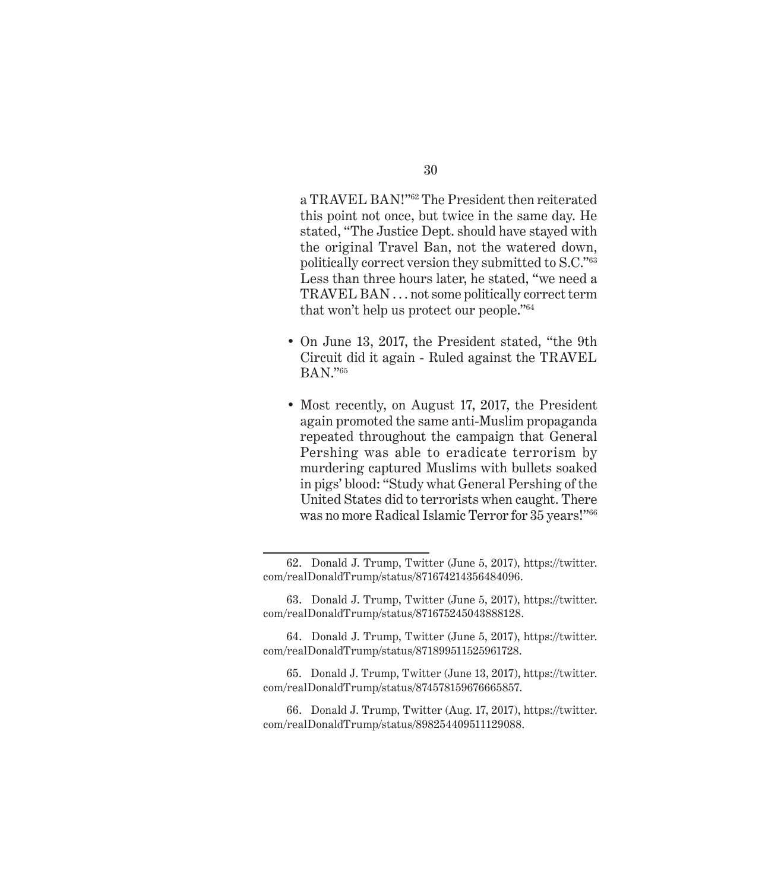30

a TRAVEL BAN!"62 The President then reiterated this point not once, but twice in the same day. He stated, "The Justice Dept. should have stayed with the original Travel Ban, not the watered down, politically correct version they submitted to S.C."63 Less than three hours later, he stated, "we need a TRAVEL BAN . . . not some politically correct term that won't help us protect our people."64

- On June 13, 2017, the President stated, "the 9th Circuit did it again - Ruled against the TRAVEL BAN."65
- Most recently, on August 17, 2017, the President again promoted the same anti-Muslim propaganda repeated throughout the campaign that General Pershing was able to eradicate terrorism by murdering captured Muslims with bullets soaked in pigs' blood: "Study what General Pershing of the United States did to terrorists when caught. There was no more Radical Islamic Terror for 35 years!"66

64. Donald J. Trump, Twitter (June 5, 2017), https://twitter. com/realDonaldTrump/status/871899511525961728.

65. Donald J. Trump, Twitter (June 13, 2017), https://twitter. com/realDonaldTrump/status/874578159676665857.

66. Donald J. Trump, Twitter (Aug. 17, 2017), https://twitter. com/realDonaldTrump/status/898254409511129088.

<sup>62.</sup> Donald J. Trump, Twitter (June 5, 2017), https://twitter. com/realDonaldTrump/status/871674214356484096.

<sup>63.</sup> Donald J. Trump, Twitter (June 5, 2017), https://twitter. com/realDonaldTrump/status/871675245043888128.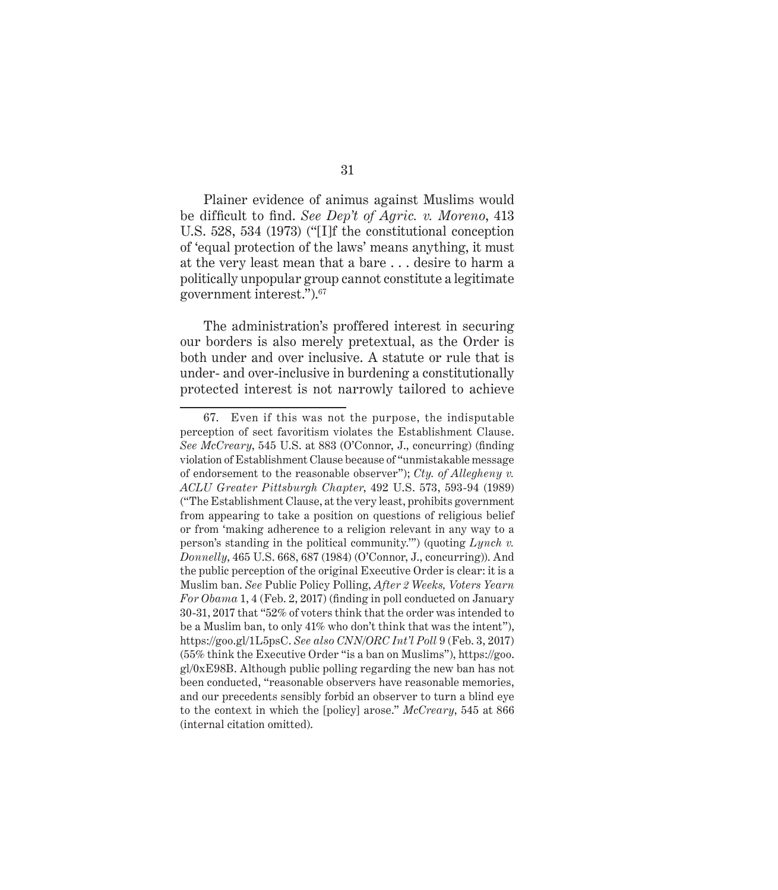Plainer evidence of animus against Muslims would be difficult to find. *See Dep't of Agric. v. Moreno*, 413 U.S. 528, 534 (1973) ("[I]f the constitutional conception of 'equal protection of the laws' means anything, it must at the very least mean that a bare . . . desire to harm a politically unpopular group cannot constitute a legitimate government interest.").67

The administration's proffered interest in securing our borders is also merely pretextual, as the Order is both under and over inclusive. A statute or rule that is under- and over-inclusive in burdening a constitutionally protected interest is not narrowly tailored to achieve

<sup>67.</sup> Even if this was not the purpose, the indisputable perception of sect favoritism violates the Establishment Clause. *See McCreary*, 545 U.S. at 883 (O'Connor, J., concurring) (finding violation of Establishment Clause because of "unmistakable message of endorsement to the reasonable observer"); *Cty. of Allegheny v. ACLU Greater Pittsburgh Chapter*, 492 U.S. 573, 593-94 (1989) ("The Establishment Clause, at the very least, prohibits government from appearing to take a position on questions of religious belief or from 'making adherence to a religion relevant in any way to a person's standing in the political community.'") (quoting *Lynch v. Donnelly*, 465 U.S. 668, 687 (1984) (O'Connor, J., concurring)). And the public perception of the original Executive Order is clear: it is a Muslim ban. *See* Public Policy Polling, *After 2 Weeks, Voters Yearn For Obama* 1, 4 (Feb. 2, 2017) (finding in poll conducted on January 30-31, 2017 that "52% of voters think that the order was intended to be a Muslim ban, to only 41% who don't think that was the intent"), https://goo.gl/1L5psC. *See also CNN/ORC Int'l Poll* 9 (Feb. 3, 2017) (55% think the Executive Order "is a ban on Muslims"), https://goo. gl/0xE98B. Although public polling regarding the new ban has not been conducted, "reasonable observers have reasonable memories, and our precedents sensibly forbid an observer to turn a blind eye to the context in which the [policy] arose." *McCreary*, 545 at 866 (internal citation omitted).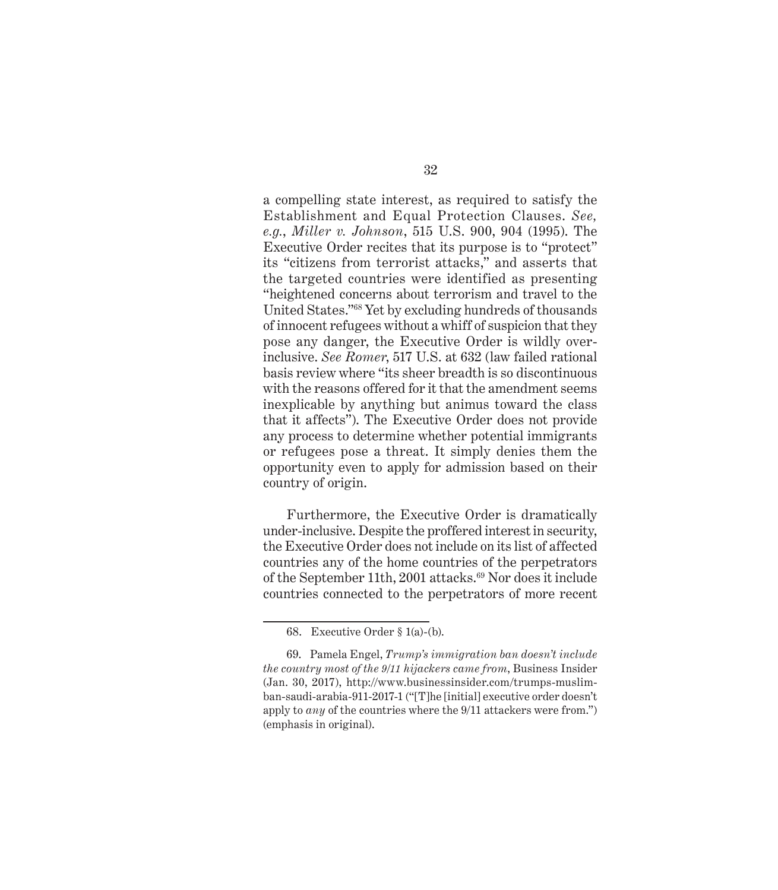a compelling state interest, as required to satisfy the Establishment and Equal Protection Clauses. *See, e.g.*, *Miller v. Johnson*, 515 U.S. 900, 904 (1995). The Executive Order recites that its purpose is to "protect" its "citizens from terrorist attacks," and asserts that the targeted countries were identified as presenting "heightened concerns about terrorism and travel to the United States."68 Yet by excluding hundreds of thousands of innocent refugees without a whiff of suspicion that they pose any danger, the Executive Order is wildly overinclusive. *See Romer*, 517 U.S. at 632 (law failed rational basis review where "its sheer breadth is so discontinuous with the reasons offered for it that the amendment seems inexplicable by anything but animus toward the class that it affects"). The Executive Order does not provide any process to determine whether potential immigrants or refugees pose a threat. It simply denies them the opportunity even to apply for admission based on their country of origin.

Furthermore, the Executive Order is dramatically under-inclusive. Despite the proffered interest in security, the Executive Order does not include on its list of affected countries any of the home countries of the perpetrators of the September 11th, 2001 attacks.<sup>69</sup> Nor does it include countries connected to the perpetrators of more recent

<sup>68.</sup> Executive Order § 1(a)-(b).

<sup>69.</sup> Pamela Engel, *Trump's immigration ban doesn't include the country most of the 9/11 hijackers came from*, Business Insider (Jan. 30, 2017), http://www.businessinsider.com/trumps-muslimban-saudi-arabia-911-2017-1 ("[T]he [initial] executive order doesn't apply to *any* of the countries where the 9/11 attackers were from.") (emphasis in original).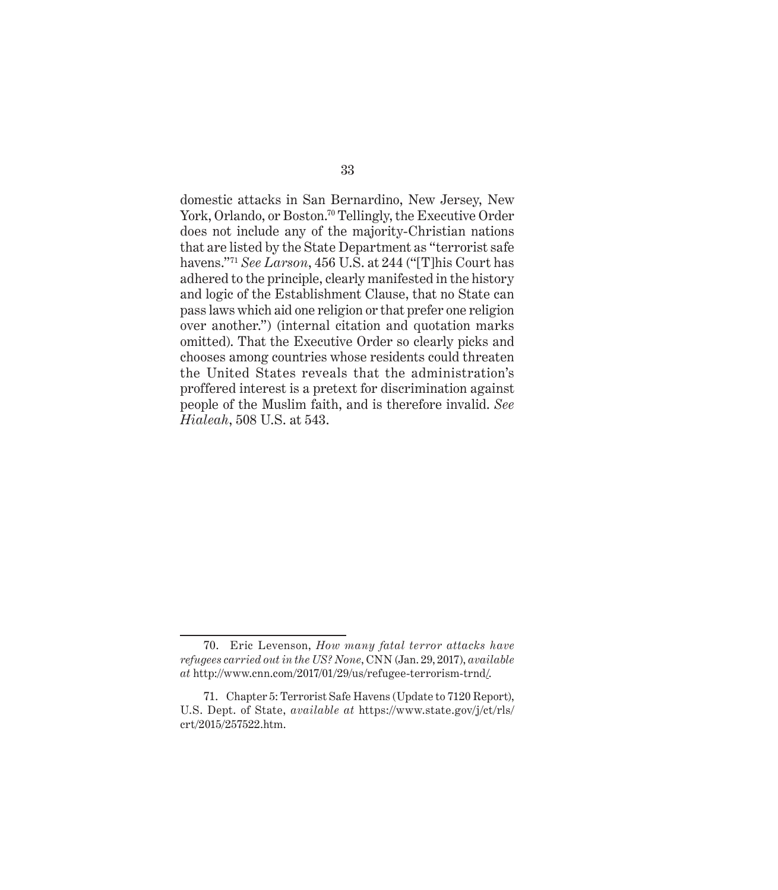domestic attacks in San Bernardino, New Jersey, New York, Orlando, or Boston.<sup>70</sup> Tellingly, the Executive Order does not include any of the majority-Christian nations that are listed by the State Department as "terrorist safe havens."71 *See Larson*, 456 U.S. at 244 ("[T]his Court has adhered to the principle, clearly manifested in the history and logic of the Establishment Clause, that no State can pass laws which aid one religion or that prefer one religion over another.") (internal citation and quotation marks omitted). That the Executive Order so clearly picks and chooses among countries whose residents could threaten the United States reveals that the administration's proffered interest is a pretext for discrimination against people of the Muslim faith, and is therefore invalid. *See Hialeah*, 508 U.S. at 543.

<sup>70.</sup> Eric Levenson, *How many fatal terror attacks have refugees carried out in the US? None*, CNN (Jan. 29, 2017), *available at* http://www.cnn.com/2017/01/29/us/refugee-terrorism-trnd/.

<sup>71.</sup> Chapter 5: Terrorist Safe Havens (Update to 7120 Report), U.S. Dept. of State, *available at* https://www.state.gov/j/ct/rls/ crt/2015/257522.htm.